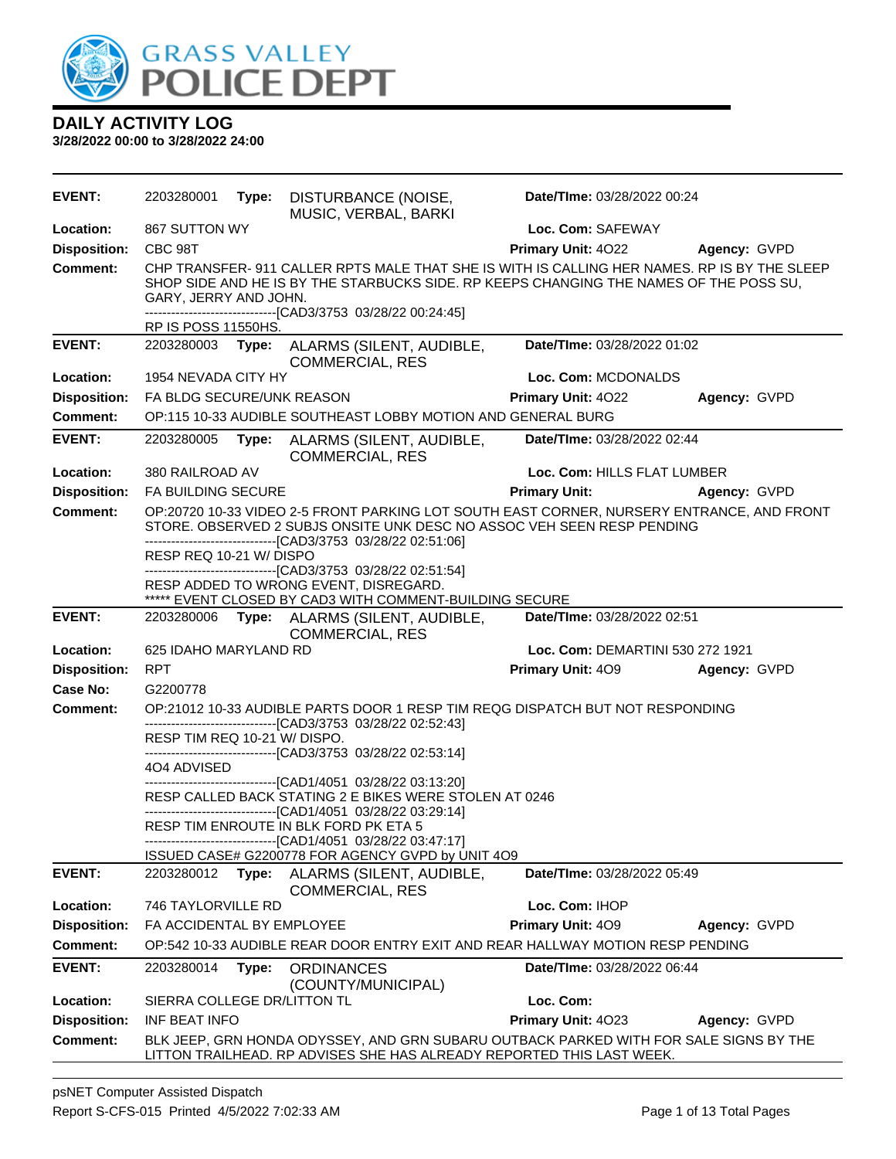

| <b>EVENT:</b>       | 2203280001                  | Type: | DISTURBANCE (NOISE,<br>MUSIC, VERBAL, BARKI                                                                                                                                                                                                                                                                                                                                                              | Date/TIme: 03/28/2022 00:24      |              |
|---------------------|-----------------------------|-------|----------------------------------------------------------------------------------------------------------------------------------------------------------------------------------------------------------------------------------------------------------------------------------------------------------------------------------------------------------------------------------------------------------|----------------------------------|--------------|
| Location:           | 867 SUTTON WY               |       |                                                                                                                                                                                                                                                                                                                                                                                                          | Loc. Com: SAFEWAY                |              |
| <b>Disposition:</b> | CBC 98T                     |       |                                                                                                                                                                                                                                                                                                                                                                                                          | Primary Unit: 4022               | Agency: GVPD |
| Comment:            | GARY, JERRY AND JOHN.       |       | CHP TRANSFER- 911 CALLER RPTS MALE THAT SHE IS WITH IS CALLING HER NAMES. RP IS BY THE SLEEP<br>SHOP SIDE AND HE IS BY THE STARBUCKS SIDE. RP KEEPS CHANGING THE NAMES OF THE POSS SU,                                                                                                                                                                                                                   |                                  |              |
|                     | RP IS POSS 11550HS.         |       | -------------------------------[CAD3/3753 03/28/22 00:24:45]                                                                                                                                                                                                                                                                                                                                             |                                  |              |
| <b>EVENT:</b>       | 2203280003                  |       | Type: ALARMS (SILENT, AUDIBLE,<br><b>COMMERCIAL, RES</b>                                                                                                                                                                                                                                                                                                                                                 | Date/TIme: 03/28/2022 01:02      |              |
| Location:           | 1954 NEVADA CITY HY         |       |                                                                                                                                                                                                                                                                                                                                                                                                          | Loc. Com: MCDONALDS              |              |
| <b>Disposition:</b> | FA BLDG SECURE/UNK REASON   |       |                                                                                                                                                                                                                                                                                                                                                                                                          | <b>Primary Unit: 4022</b>        | Agency: GVPD |
| <b>Comment:</b>     |                             |       | OP:115 10-33 AUDIBLE SOUTHEAST LOBBY MOTION AND GENERAL BURG                                                                                                                                                                                                                                                                                                                                             |                                  |              |
| <b>EVENT:</b>       | 2203280005                  | Type: | ALARMS (SILENT, AUDIBLE,<br><b>COMMERCIAL, RES</b>                                                                                                                                                                                                                                                                                                                                                       | Date/TIme: 03/28/2022 02:44      |              |
| Location:           | 380 RAILROAD AV             |       |                                                                                                                                                                                                                                                                                                                                                                                                          | Loc. Com: HILLS FLAT LUMBER      |              |
| <b>Disposition:</b> | <b>FA BUILDING SECURE</b>   |       |                                                                                                                                                                                                                                                                                                                                                                                                          | <b>Primary Unit:</b>             | Agency: GVPD |
| <b>Comment:</b>     | RESP REQ 10-21 W/ DISPO     |       | OP:20720 10-33 VIDEO 2-5 FRONT PARKING LOT SOUTH EAST CORNER, NURSERY ENTRANCE, AND FRONT<br>STORE. OBSERVED 2 SUBJS ONSITE UNK DESC NO ASSOC VEH SEEN RESP PENDING<br>-------------------------------[CAD3/3753 03/28/22 02:51:06]<br>--------------------------------[CAD3/3753 03/28/22 02:51:54]<br>RESP ADDED TO WRONG EVENT, DISREGARD.<br>***** EVENT CLOSED BY CAD3 WITH COMMENT-BUILDING SECURE |                                  |              |
| <b>EVENT:</b>       |                             |       | 2203280006 Type: ALARMS (SILENT, AUDIBLE,                                                                                                                                                                                                                                                                                                                                                                | Date/TIme: 03/28/2022 02:51      |              |
| Location:           | 625 IDAHO MARYLAND RD       |       | <b>COMMERCIAL, RES</b>                                                                                                                                                                                                                                                                                                                                                                                   | Loc. Com: DEMARTINI 530 272 1921 |              |
| <b>Disposition:</b> | <b>RPT</b>                  |       |                                                                                                                                                                                                                                                                                                                                                                                                          | Primary Unit: 409                | Agency: GVPD |
| Case No:            | G2200778                    |       |                                                                                                                                                                                                                                                                                                                                                                                                          |                                  |              |
| Comment:            |                             |       | OP:21012 10-33 AUDIBLE PARTS DOOR 1 RESP TIM REQG DISPATCH BUT NOT RESPONDING                                                                                                                                                                                                                                                                                                                            |                                  |              |
|                     | RESP TIM REQ 10-21 W/DISPO. |       | -------------------------[CAD3/3753_03/28/22_02:52:43]<br>-------------------------------[CAD3/3753 03/28/22 02:53:14]                                                                                                                                                                                                                                                                                   |                                  |              |
|                     | 404 ADVISED                 |       |                                                                                                                                                                                                                                                                                                                                                                                                          |                                  |              |
|                     |                             |       | -------------------------------[CAD1/4051 03/28/22 03:13:20]<br>RESP CALLED BACK STATING 2 E BIKES WERE STOLEN AT 0246<br>-------------------------------[CAD1/4051 03/28/22 03:29:14]<br>RESP TIM ENROUTE IN BLK FORD PK ETA 5<br>-------------------[CAD1/4051 03/28/22 03:47:17]                                                                                                                      |                                  |              |
|                     |                             |       | ISSUED CASE# G2200778 FOR AGENCY GVPD by UNIT 4O9                                                                                                                                                                                                                                                                                                                                                        |                                  |              |
| <b>EVENT:</b>       | 2203280012                  | Type: | ALARMS (SILENT, AUDIBLE,<br><b>COMMERCIAL, RES</b>                                                                                                                                                                                                                                                                                                                                                       | Date/TIme: 03/28/2022 05:49      |              |
| Location:           | 746 TAYLORVILLE RD          |       |                                                                                                                                                                                                                                                                                                                                                                                                          | Loc. Com: IHOP                   |              |
| <b>Disposition:</b> | FA ACCIDENTAL BY EMPLOYEE   |       |                                                                                                                                                                                                                                                                                                                                                                                                          | Primary Unit: 409                | Agency: GVPD |
| <b>Comment:</b>     |                             |       | OP:542 10-33 AUDIBLE REAR DOOR ENTRY EXIT AND REAR HALLWAY MOTION RESP PENDING                                                                                                                                                                                                                                                                                                                           |                                  |              |
| <b>EVENT:</b>       | 2203280014                  | Type: | <b>ORDINANCES</b><br>(COUNTY/MUNICIPAL)                                                                                                                                                                                                                                                                                                                                                                  | Date/TIme: 03/28/2022 06:44      |              |
| Location:           | SIERRA COLLEGE DR/LITTON TL |       |                                                                                                                                                                                                                                                                                                                                                                                                          | Loc. Com:                        |              |
| <b>Disposition:</b> | INF BEAT INFO               |       |                                                                                                                                                                                                                                                                                                                                                                                                          | Primary Unit: 4023               | Agency: GVPD |
| <b>Comment:</b>     |                             |       | BLK JEEP, GRN HONDA ODYSSEY, AND GRN SUBARU OUTBACK PARKED WITH FOR SALE SIGNS BY THE<br>LITTON TRAILHEAD. RP ADVISES SHE HAS ALREADY REPORTED THIS LAST WEEK.                                                                                                                                                                                                                                           |                                  |              |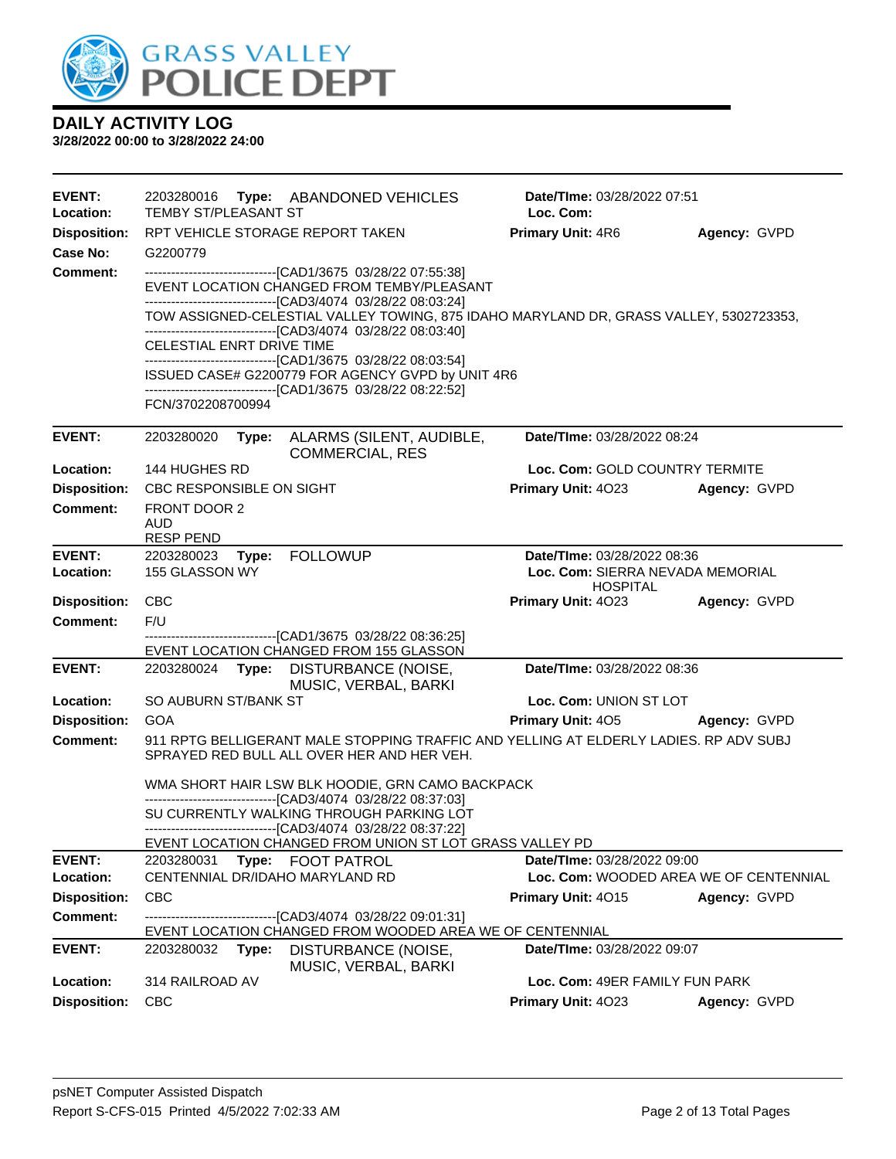

| <b>EVENT:</b><br>Location: | 2203280016<br><b>TEMBY ST/PLEASANT ST</b>              | Type: ABANDONED VEHICLES                                                                                                                                                                                                | Date/TIme: 03/28/2022 07:51<br>Loc. Com:                              |              |
|----------------------------|--------------------------------------------------------|-------------------------------------------------------------------------------------------------------------------------------------------------------------------------------------------------------------------------|-----------------------------------------------------------------------|--------------|
| <b>Disposition:</b>        | RPT VEHICLE STORAGE REPORT TAKEN                       |                                                                                                                                                                                                                         | <b>Primary Unit: 4R6</b>                                              | Agency: GVPD |
| Case No:                   | G2200779                                               |                                                                                                                                                                                                                         |                                                                       |              |
| <b>Comment:</b>            |                                                        | ------------------------------[CAD1/3675 03/28/22 07:55:38]<br>EVENT LOCATION CHANGED FROM TEMBY/PLEASANT                                                                                                               |                                                                       |              |
|                            |                                                        | -------------------------------[CAD3/4074 03/28/22 08:03:24]<br>TOW ASSIGNED-CELESTIAL VALLEY TOWING, 875 IDAHO MARYLAND DR, GRASS VALLEY, 5302723353,<br>--------------------------------[CAD3/4074 03/28/22 08:03:40] |                                                                       |              |
|                            | CELESTIAL ENRT DRIVE TIME                              | -------------------------------[CAD1/3675 03/28/22 08:03:54]                                                                                                                                                            |                                                                       |              |
|                            |                                                        | ISSUED CASE# G2200779 FOR AGENCY GVPD by UNIT 4R6<br>-------------------------------[CAD1/3675 03/28/22 08:22:52]                                                                                                       |                                                                       |              |
|                            | FCN/3702208700994                                      |                                                                                                                                                                                                                         |                                                                       |              |
| <b>EVENT:</b>              | 2203280020<br>Type:                                    | ALARMS (SILENT, AUDIBLE,<br><b>COMMERCIAL, RES</b>                                                                                                                                                                      | Date/TIme: 03/28/2022 08:24                                           |              |
| Location:                  | 144 HUGHES RD                                          |                                                                                                                                                                                                                         | Loc. Com: GOLD COUNTRY TERMITE                                        |              |
| <b>Disposition:</b>        | CBC RESPONSIBLE ON SIGHT                               |                                                                                                                                                                                                                         | <b>Primary Unit: 4023</b>                                             | Agency: GVPD |
| <b>Comment:</b>            | FRONT DOOR 2<br>AUD<br><b>RESP PEND</b>                |                                                                                                                                                                                                                         |                                                                       |              |
| <b>EVENT:</b>              | 2203280023<br>Type:                                    | <b>FOLLOWUP</b>                                                                                                                                                                                                         | Date/TIme: 03/28/2022 08:36                                           |              |
| Location:                  | 155 GLASSON WY                                         |                                                                                                                                                                                                                         | Loc. Com: SIERRA NEVADA MEMORIAL<br><b>HOSPITAL</b>                   |              |
| <b>Disposition:</b>        | CBC                                                    |                                                                                                                                                                                                                         | <b>Primary Unit: 4023</b>                                             | Agency: GVPD |
| <b>Comment:</b>            | F/U                                                    | --------------------------------[CAD1/3675 03/28/22 08:36:25]                                                                                                                                                           |                                                                       |              |
|                            |                                                        | EVENT LOCATION CHANGED FROM 155 GLASSON                                                                                                                                                                                 |                                                                       |              |
| <b>EVENT:</b>              | 2203280024<br>Type:                                    | DISTURBANCE (NOISE,<br>MUSIC, VERBAL, BARKI                                                                                                                                                                             | Date/TIme: 03/28/2022 08:36                                           |              |
| Location:                  | SO AUBURN ST/BANK ST                                   |                                                                                                                                                                                                                         | Loc. Com: UNION ST LOT                                                |              |
| <b>Disposition:</b>        | GOA                                                    |                                                                                                                                                                                                                         | <b>Primary Unit: 405</b>                                              | Agency: GVPD |
| <b>Comment:</b>            |                                                        | 911 RPTG BELLIGERANT MALE STOPPING TRAFFIC AND YELLING AT ELDERLY LADIES. RP ADV SUBJ<br>SPRAYED RED BULL ALL OVER HER AND HER VEH.                                                                                     |                                                                       |              |
|                            |                                                        | WMA SHORT HAIR LSW BLK HOODIE, GRN CAMO BACKPACK                                                                                                                                                                        |                                                                       |              |
|                            |                                                        | --------------------------------[CAD3/4074 03/28/22 08:37:03]<br>SU CURRENTLY WALKING THROUGH PARKING LOT                                                                                                               |                                                                       |              |
|                            |                                                        | ------------------------------[CAD3/4074 03/28/22 08:37:22]                                                                                                                                                             |                                                                       |              |
|                            |                                                        | EVENT LOCATION CHANGED FROM UNION ST LOT GRASS VALLEY PD                                                                                                                                                                |                                                                       |              |
| <b>EVENT:</b><br>Location: | 2203280031<br>Type:<br>CENTENNIAL DR/IDAHO MARYLAND RD | <b>FOOT PATROL</b>                                                                                                                                                                                                      | Date/TIme: 03/28/2022 09:00<br>Loc. Com: WOODED AREA WE OF CENTENNIAL |              |
| <b>Disposition:</b>        | <b>CBC</b>                                             |                                                                                                                                                                                                                         | Primary Unit: 4015                                                    | Agency: GVPD |
| <b>Comment:</b>            |                                                        | ----------------------[CAD3/4074_03/28/22_09:01:31]                                                                                                                                                                     |                                                                       |              |
|                            |                                                        | EVENT LOCATION CHANGED FROM WOODED AREA WE OF CENTENNIAL                                                                                                                                                                |                                                                       |              |
| <b>EVENT:</b>              | 2203280032<br>Type:                                    | DISTURBANCE (NOISE,<br>MUSIC, VERBAL, BARKI                                                                                                                                                                             | Date/TIme: 03/28/2022 09:07                                           |              |
| Location:                  | 314 RAILROAD AV                                        |                                                                                                                                                                                                                         | Loc. Com: 49ER FAMILY FUN PARK                                        |              |
| <b>Disposition:</b>        | <b>CBC</b>                                             |                                                                                                                                                                                                                         | <b>Primary Unit: 4023</b>                                             | Agency: GVPD |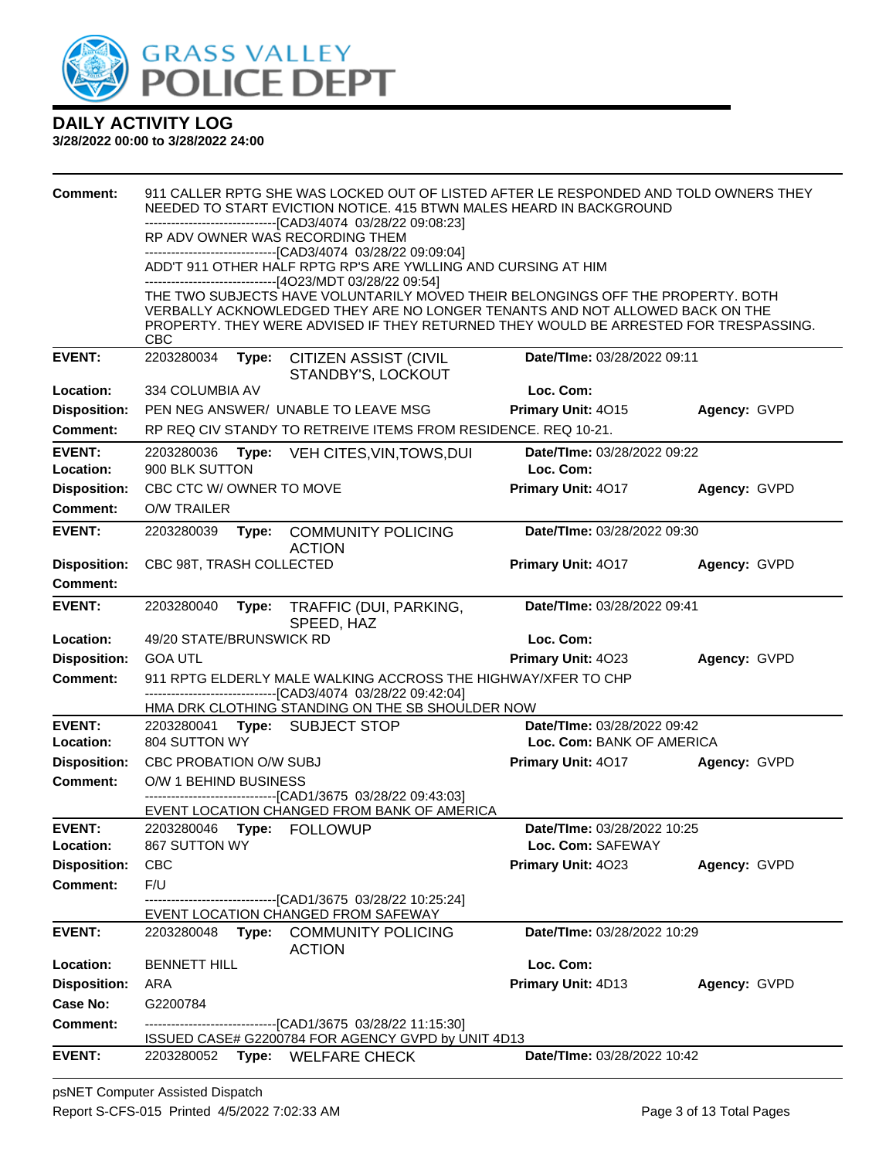

| <b>Comment:</b>     |                          |       | 911 CALLER RPTG SHE WAS LOCKED OUT OF LISTED AFTER LE RESPONDED AND TOLD OWNERS THEY<br>NEEDED TO START EVICTION NOTICE. 415 BTWN MALES HEARD IN BACKGROUND     |                             |              |
|---------------------|--------------------------|-------|-----------------------------------------------------------------------------------------------------------------------------------------------------------------|-----------------------------|--------------|
|                     |                          |       | -------------------------------[CAD3/4074 03/28/22 09:08:23]                                                                                                    |                             |              |
|                     |                          |       | RP ADV OWNER WAS RECORDING THEM<br>-------------------------------[CAD3/4074 03/28/22 09:09:04]                                                                 |                             |              |
|                     |                          |       | ADD'T 911 OTHER HALF RPTG RP'S ARE YWLLING AND CURSING AT HIM                                                                                                   |                             |              |
|                     |                          |       | -----------------------------[4O23/MDT 03/28/22 09:54]                                                                                                          |                             |              |
|                     |                          |       | THE TWO SUBJECTS HAVE VOLUNTARILY MOVED THEIR BELONGINGS OFF THE PROPERTY. BOTH<br>VERBALLY ACKNOWLEDGED THEY ARE NO LONGER TENANTS AND NOT ALLOWED BACK ON THE |                             |              |
|                     |                          |       | PROPERTY. THEY WERE ADVISED IF THEY RETURNED THEY WOULD BE ARRESTED FOR TRESPASSING.                                                                            |                             |              |
| <b>EVENT:</b>       | <b>CBC</b><br>2203280034 |       | <b>CITIZEN ASSIST (CIVIL</b>                                                                                                                                    | Date/TIme: 03/28/2022 09:11 |              |
|                     |                          | Type: | STANDBY'S, LOCKOUT                                                                                                                                              |                             |              |
| Location:           | 334 COLUMBIA AV          |       |                                                                                                                                                                 | Loc. Com:                   |              |
| <b>Disposition:</b> |                          |       | PEN NEG ANSWER/ UNABLE TO LEAVE MSG                                                                                                                             | Primary Unit: 4015          | Agency: GVPD |
| <b>Comment:</b>     |                          |       | RP REQ CIV STANDY TO RETREIVE ITEMS FROM RESIDENCE. REQ 10-21.                                                                                                  |                             |              |
| <b>EVENT:</b>       | 2203280036               | Type: | VEH CITES, VIN, TOWS, DUI                                                                                                                                       | Date/TIme: 03/28/2022 09:22 |              |
| Location:           | 900 BLK SUTTON           |       |                                                                                                                                                                 | Loc. Com:                   |              |
| <b>Disposition:</b> | CBC CTC W/OWNER TO MOVE  |       |                                                                                                                                                                 | Primary Unit: 4017          | Agency: GVPD |
| <b>Comment:</b>     | <b>O/W TRAILER</b>       |       |                                                                                                                                                                 |                             |              |
| <b>EVENT:</b>       | 2203280039               |       | Type: COMMUNITY POLICING<br><b>ACTION</b>                                                                                                                       | Date/TIme: 03/28/2022 09:30 |              |
| <b>Disposition:</b> | CBC 98T, TRASH COLLECTED |       |                                                                                                                                                                 | Primary Unit: 4017          | Agency: GVPD |
| <b>Comment:</b>     |                          |       |                                                                                                                                                                 |                             |              |
| <b>EVENT:</b>       | 2203280040               | Type: | TRAFFIC (DUI, PARKING,                                                                                                                                          | Date/TIme: 03/28/2022 09:41 |              |
|                     |                          |       | SPEED, HAZ                                                                                                                                                      |                             |              |
| Location:           | 49/20 STATE/BRUNSWICK RD |       |                                                                                                                                                                 | Loc. Com:                   |              |
| <b>Disposition:</b> | <b>GOA UTL</b>           |       |                                                                                                                                                                 | Primary Unit: 4023          | Agency: GVPD |
| <b>Comment:</b>     |                          |       | 911 RPTG ELDERLY MALE WALKING ACCROSS THE HIGHWAY/XFER TO CHP<br>-------------------------------[CAD3/4074 03/28/22 09:42:04]                                   |                             |              |
|                     |                          |       | HMA DRK CLOTHING STANDING ON THE SB SHOULDER NOW                                                                                                                |                             |              |
| <b>EVENT:</b>       | 2203280041               |       | Type: SUBJECT STOP                                                                                                                                              | Date/TIme: 03/28/2022 09:42 |              |
| <b>Location:</b>    | 804 SUTTON WY            |       |                                                                                                                                                                 | Loc. Com: BANK OF AMERICA   |              |
| <b>Disposition:</b> | CBC PROBATION O/W SUBJ   |       |                                                                                                                                                                 | Primary Unit: 4017          | Agency: GVPD |
| <b>Comment:</b>     | O/W 1 BEHIND BUSINESS    |       | -------------------------------[CAD1/3675 03/28/22 09:43:03]                                                                                                    |                             |              |
|                     |                          |       | EVENT LOCATION CHANGED FROM BANK OF AMERICA                                                                                                                     |                             |              |
| <b>EVENT:</b>       | 2203280046               |       | Type: FOLLOWUP                                                                                                                                                  | Date/TIme: 03/28/2022 10:25 |              |
| Location:           | 867 SUTTON WY            |       |                                                                                                                                                                 | Loc. Com: SAFEWAY           |              |
| <b>Disposition:</b> | <b>CBC</b><br>F/U        |       |                                                                                                                                                                 | Primary Unit: 4023          | Agency: GVPD |
| <b>Comment:</b>     |                          |       | ------------------------[CAD1/3675 03/28/22 10:25:24]                                                                                                           |                             |              |
|                     |                          |       | EVENT LOCATION CHANGED FROM SAFEWAY                                                                                                                             |                             |              |
| <b>EVENT:</b>       | 2203280048               | Type: | <b>COMMUNITY POLICING</b><br><b>ACTION</b>                                                                                                                      | Date/TIme: 03/28/2022 10:29 |              |
| Location:           | <b>BENNETT HILL</b>      |       |                                                                                                                                                                 | Loc. Com:                   |              |
| <b>Disposition:</b> | ARA                      |       |                                                                                                                                                                 | Primary Unit: 4D13          | Agency: GVPD |
| Case No:            | G2200784                 |       |                                                                                                                                                                 |                             |              |
| <b>Comment:</b>     |                          |       | ------------------------[CAD1/3675_03/28/22_11:15:30]<br>ISSUED CASE# G2200784 FOR AGENCY GVPD by UNIT 4D13                                                     |                             |              |
| <b>EVENT:</b>       | 2203280052               |       | Type: WELFARE CHECK                                                                                                                                             | Date/TIme: 03/28/2022 10:42 |              |
|                     |                          |       |                                                                                                                                                                 |                             |              |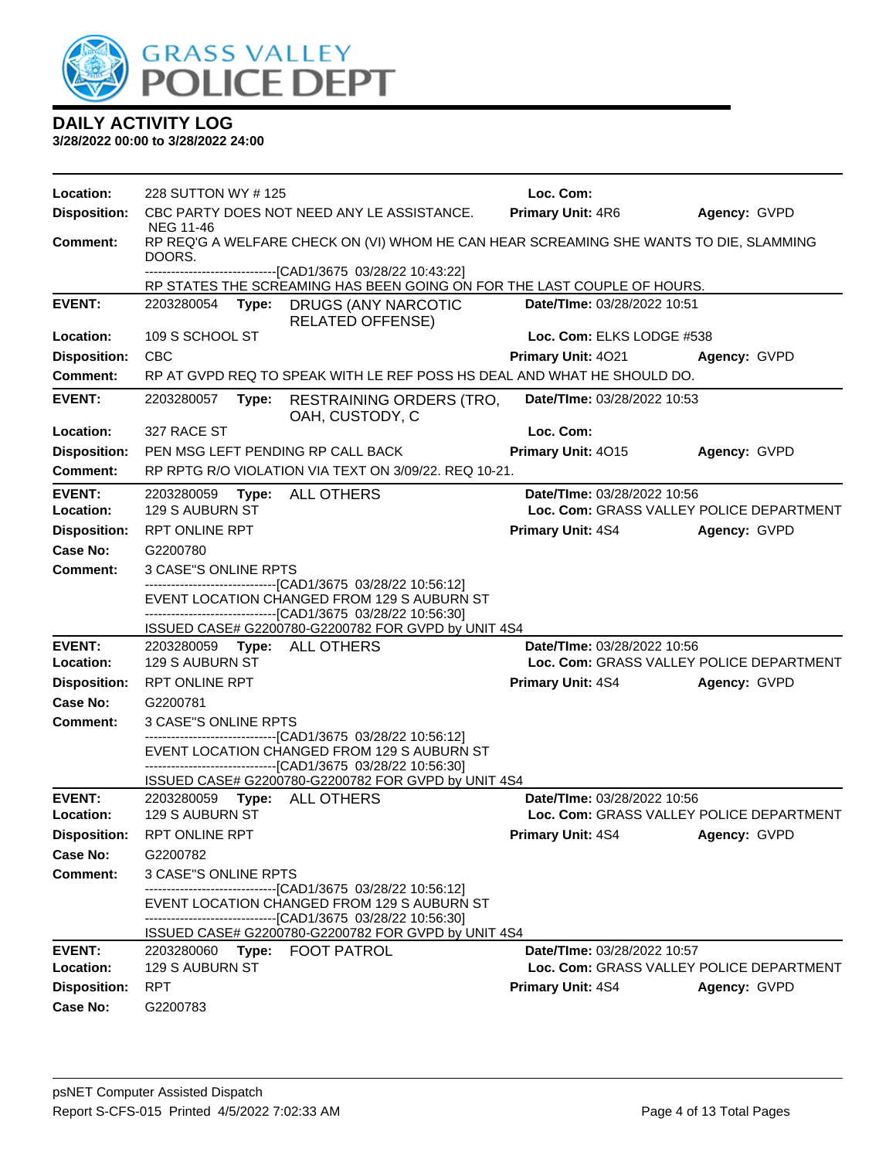

| Location:                  | 228 SUTTON WY #125                             |                                                                                                                                                                              | Loc. Com:                                                               |              |
|----------------------------|------------------------------------------------|------------------------------------------------------------------------------------------------------------------------------------------------------------------------------|-------------------------------------------------------------------------|--------------|
| <b>Disposition:</b>        |                                                | CBC PARTY DOES NOT NEED ANY LE ASSISTANCE.                                                                                                                                   | Primary Unit: 4R6                                                       | Agency: GVPD |
|                            | <b>NEG 11-46</b>                               |                                                                                                                                                                              |                                                                         |              |
| Comment:                   | DOORS.                                         | RP REQ'G A WELFARE CHECK ON (VI) WHOM HE CAN HEAR SCREAMING SHE WANTS TO DIE, SLAMMING                                                                                       |                                                                         |              |
|                            |                                                | ---------------------------[CAD1/3675_03/28/22 10:43:22]<br>RP STATES THE SCREAMING HAS BEEN GOING ON FOR THE LAST COUPLE OF HOURS.                                          |                                                                         |              |
| <b>EVENT:</b>              | 2203280054<br>Type:                            | DRUGS (ANY NARCOTIC                                                                                                                                                          | Date/TIme: 03/28/2022 10:51                                             |              |
|                            |                                                | <b>RELATED OFFENSE)</b>                                                                                                                                                      |                                                                         |              |
| Location:                  | 109 S SCHOOL ST                                |                                                                                                                                                                              | Loc. Com: ELKS LODGE #538                                               |              |
| <b>Disposition:</b>        | <b>CBC</b>                                     |                                                                                                                                                                              | <b>Primary Unit: 4021</b>                                               | Agency: GVPD |
| <b>Comment:</b>            |                                                | RP AT GVPD REQ TO SPEAK WITH LE REF POSS HS DEAL AND WHAT HE SHOULD DO.                                                                                                      |                                                                         |              |
| <b>EVENT:</b>              |                                                | 2203280057 Type: RESTRAINING ORDERS (TRO,<br>OAH, CUSTODY, C                                                                                                                 | Date/TIme: 03/28/2022 10:53                                             |              |
| Location:                  | 327 RACE ST                                    |                                                                                                                                                                              | Loc. Com:                                                               |              |
| <b>Disposition:</b>        | PEN MSG LEFT PENDING RP CALL BACK              |                                                                                                                                                                              | Primary Unit: 4015                                                      | Agency: GVPD |
| <b>Comment:</b>            |                                                | RP RPTG R/O VIOLATION VIA TEXT ON 3/09/22, REQ 10-21.                                                                                                                        |                                                                         |              |
| <b>EVENT:</b>              | 2203280059                                     | Type: ALL OTHERS                                                                                                                                                             | Date/TIme: 03/28/2022 10:56                                             |              |
| Location:                  | 129 S AUBURN ST                                |                                                                                                                                                                              | Loc. Com: GRASS VALLEY POLICE DEPARTMENT                                |              |
| <b>Disposition:</b>        | <b>RPT ONLINE RPT</b>                          |                                                                                                                                                                              | <b>Primary Unit: 4S4</b>                                                | Agency: GVPD |
| Case No:                   | G2200780                                       |                                                                                                                                                                              |                                                                         |              |
| Comment:                   | 3 CASE"S ONLINE RPTS                           |                                                                                                                                                                              |                                                                         |              |
|                            |                                                | -------------------------------[CAD1/3675_03/28/22 10:56:12]<br>EVENT LOCATION CHANGED FROM 129 S AUBURN ST<br>--------------------------------[CAD1/3675 03/28/22 10:56:30] |                                                                         |              |
|                            |                                                | ISSUED CASE# G2200780-G2200782 FOR GVPD by UNIT 4S4                                                                                                                          |                                                                         |              |
| <b>EVENT:</b>              | 2203280059 Type: ALL OTHERS                    |                                                                                                                                                                              | Date/TIme: 03/28/2022 10:56                                             |              |
| Location:                  | 129 S AUBURN ST                                |                                                                                                                                                                              | Loc. Com: GRASS VALLEY POLICE DEPARTMENT                                |              |
| <b>Disposition:</b>        | RPT ONLINE RPT                                 |                                                                                                                                                                              | <b>Primary Unit: 4S4</b>                                                | Agency: GVPD |
| Case No:                   | G2200781                                       |                                                                                                                                                                              |                                                                         |              |
| Comment:                   | 3 CASE"S ONLINE RPTS                           |                                                                                                                                                                              |                                                                         |              |
|                            |                                                | --------------------------------[CAD1/3675 03/28/22 10:56:12]<br>EVENT LOCATION CHANGED FROM 129 S AUBURN ST                                                                 |                                                                         |              |
|                            |                                                | -------------------------------[CAD1/3675_03/28/22 10:56:30]                                                                                                                 |                                                                         |              |
|                            |                                                | ISSUED CASE# G2200780-G2200782 FOR GVPD by UNIT 4S4                                                                                                                          |                                                                         |              |
| <b>EVENT:</b><br>Location: | 2203280059 Type: ALL OTHERS<br>129 S AUBURN ST |                                                                                                                                                                              | Date/TIme: 03/28/2022 10:56<br>Loc. Com: GRASS VALLEY POLICE DEPARTMENT |              |
|                            | Disposition: RPT ONLINE RPT                    |                                                                                                                                                                              | Primary Unit: 4S4 Agency: GVPD                                          |              |
| Case No:                   | G2200782                                       |                                                                                                                                                                              |                                                                         |              |
| <b>Comment:</b>            | <b>3 CASE"S ONLINE RPTS</b>                    |                                                                                                                                                                              |                                                                         |              |
|                            |                                                | --------------------------------[CAD1/3675 03/28/22 10:56:12]                                                                                                                |                                                                         |              |
|                            |                                                | EVENT LOCATION CHANGED FROM 129 S AUBURN ST                                                                                                                                  |                                                                         |              |
|                            |                                                | -------------------------------[CAD1/3675 03/28/22 10:56:30]<br>ISSUED CASE# G2200780-G2200782 FOR GVPD by UNIT 4S4                                                          |                                                                         |              |
| <b>EVENT:</b>              | 2203280060 Type: FOOT PATROL                   |                                                                                                                                                                              | Date/TIme: 03/28/2022 10:57                                             |              |
| Location:                  | 129 S AUBURN ST                                |                                                                                                                                                                              | Loc. Com: GRASS VALLEY POLICE DEPARTMENT                                |              |
| <b>Disposition:</b>        | <b>RPT</b>                                     |                                                                                                                                                                              | <b>Primary Unit: 4S4</b>                                                | Agency: GVPD |
| <b>Case No:</b>            | G2200783                                       |                                                                                                                                                                              |                                                                         |              |
|                            |                                                |                                                                                                                                                                              |                                                                         |              |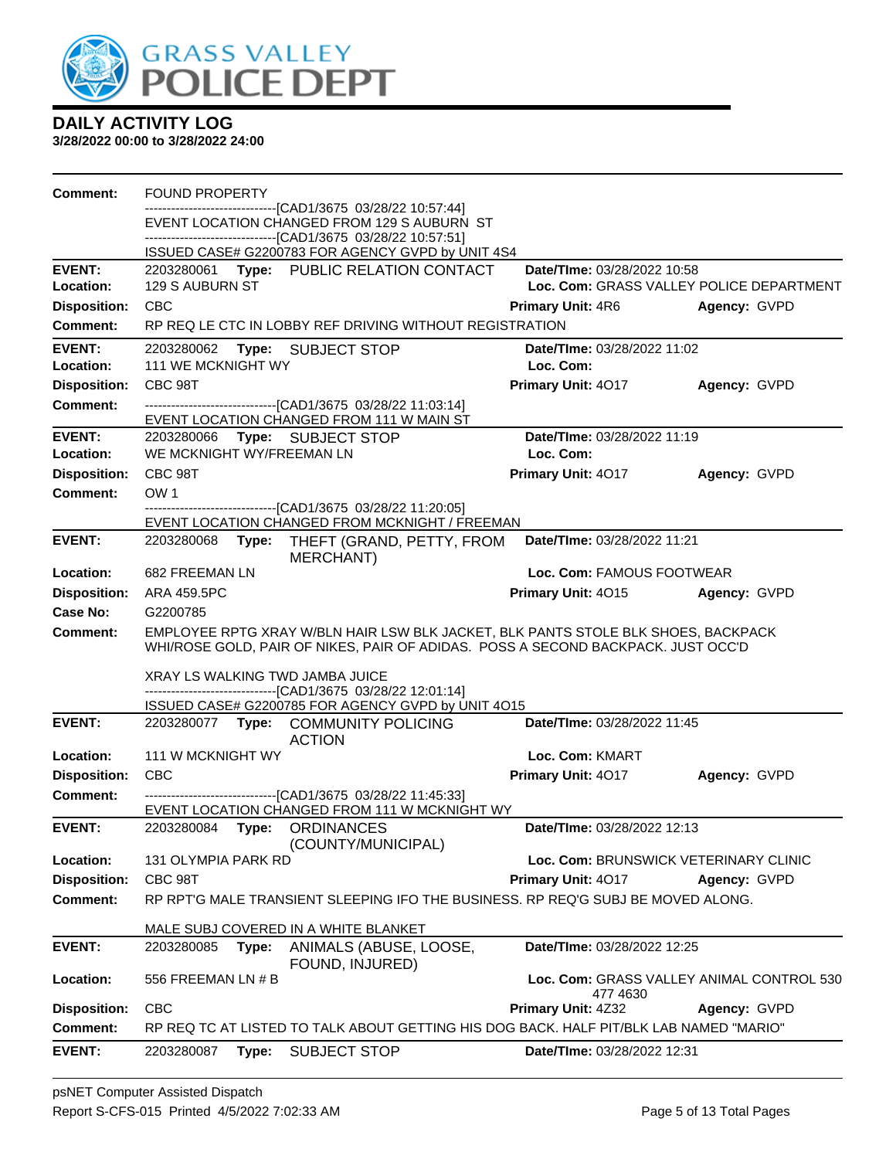

| Comment:                         | <b>FOUND PROPERTY</b>                                                                                                                |                                          |                                           |
|----------------------------------|--------------------------------------------------------------------------------------------------------------------------------------|------------------------------------------|-------------------------------------------|
|                                  | -----------------------[CAD1/3675_03/28/22_10:57:44]<br>EVENT LOCATION CHANGED FROM 129 S AUBURN ST                                  |                                          |                                           |
|                                  | -------------------------------[CAD1/3675 03/28/22 10:57:51]                                                                         |                                          |                                           |
|                                  | ISSUED CASE# G2200783 FOR AGENCY GVPD by UNIT 4S4                                                                                    |                                          |                                           |
| <b>EVENT:</b>                    | 2203280061 Type: PUBLIC RELATION CONTACT<br>129 S AUBURN ST                                                                          | Date/TIme: 03/28/2022 10:58              |                                           |
| Location:<br><b>Disposition:</b> | <b>CBC</b>                                                                                                                           |                                          | Loc. Com: GRASS VALLEY POLICE DEPARTMENT  |
|                                  | RP REQ LE CTC IN LOBBY REF DRIVING WITHOUT REGISTRATION                                                                              | <b>Primary Unit: 4R6</b>                 | Agency: GVPD                              |
| Comment:                         |                                                                                                                                      |                                          |                                           |
| <b>EVENT:</b><br>Location:       | 2203280062<br><b>Type: SUBJECT STOP</b><br><b>111 WE MCKNIGHT WY</b>                                                                 | Date/TIme: 03/28/2022 11:02<br>Loc. Com: |                                           |
| <b>Disposition:</b>              | CBC 98T                                                                                                                              | Primary Unit: 4017                       | Agency: GVPD                              |
| <b>Comment:</b>                  | --------------------------------[CAD1/3675 03/28/22 11:03:14]                                                                        |                                          |                                           |
|                                  | EVENT LOCATION CHANGED FROM 111 W MAIN ST                                                                                            |                                          |                                           |
| <b>EVENT:</b>                    | Type: SUBJECT STOP<br>2203280066                                                                                                     | Date/TIme: 03/28/2022 11:19              |                                           |
| Location:                        | WE MCKNIGHT WY/FREEMAN LN                                                                                                            | Loc. Com:                                |                                           |
| <b>Disposition:</b>              | CBC 98T                                                                                                                              | Primary Unit: 4017                       | Agency: GVPD                              |
| <b>Comment:</b>                  | OW <sub>1</sub>                                                                                                                      |                                          |                                           |
|                                  | -------------------------------[CAD1/3675 03/28/22 11:20:05]<br>EVENT LOCATION CHANGED FROM MCKNIGHT / FREEMAN                       |                                          |                                           |
| <b>EVENT:</b>                    | 2203280068<br>Type:<br>THEFT (GRAND, PETTY, FROM<br><b>MERCHANT)</b>                                                                 | Date/TIme: 03/28/2022 11:21              |                                           |
| Location:                        | 682 FREEMAN LN                                                                                                                       | Loc. Com: FAMOUS FOOTWEAR                |                                           |
| <b>Disposition:</b>              | ARA 459.5PC                                                                                                                          | Primary Unit: 4015                       | Agency: GVPD                              |
| Case No:                         | G2200785                                                                                                                             |                                          |                                           |
|                                  |                                                                                                                                      |                                          |                                           |
| Comment:                         | EMPLOYEE RPTG XRAY W/BLN HAIR LSW BLK JACKET, BLK PANTS STOLE BLK SHOES, BACKPACK                                                    |                                          |                                           |
|                                  | WHI/ROSE GOLD, PAIR OF NIKES, PAIR OF ADIDAS. POSS A SECOND BACKPACK. JUST OCC'D                                                     |                                          |                                           |
|                                  | XRAY LS WALKING TWD JAMBA JUICE                                                                                                      |                                          |                                           |
|                                  | -------------------------------[CAD1/3675 03/28/22 12:01:14]                                                                         |                                          |                                           |
|                                  | ISSUED CASE# G2200785 FOR AGENCY GVPD by UNIT 4O15                                                                                   |                                          |                                           |
| <b>EVENT:</b>                    | 2203280077 Type: COMMUNITY POLICING<br><b>ACTION</b>                                                                                 | Date/TIme: 03/28/2022 11:45              |                                           |
| Location:                        | 111 W MCKNIGHT WY                                                                                                                    | Loc. Com: KMART                          |                                           |
| <b>Disposition:</b>              | <b>CBC</b>                                                                                                                           | Primary Unit: 4017                       | Agency: GVPD                              |
| <b>Comment:</b>                  | -------------------------------[CAD1/3675 03/28/22 11:45:33]                                                                         |                                          |                                           |
|                                  | EVENT LOCATION CHANGED FROM 111 W MCKNIGHT WY                                                                                        |                                          |                                           |
| <b>EVENT:</b>                    | 2203280084<br>Type: ORDINANCES                                                                                                       | Date/TIme: 03/28/2022 12:13              |                                           |
| Location:                        | (COUNTY/MUNICIPAL)<br><b>131 OLYMPIA PARK RD</b>                                                                                     | Loc. Com: BRUNSWICK VETERINARY CLINIC    |                                           |
| <b>Disposition:</b>              | CBC 98T                                                                                                                              | Primary Unit: 4017                       | Agency: GVPD                              |
| <b>Comment:</b>                  | RP RPT'G MALE TRANSIENT SLEEPING IFO THE BUSINESS. RP REQ'G SUBJ BE MOVED ALONG.                                                     |                                          |                                           |
|                                  |                                                                                                                                      |                                          |                                           |
|                                  | MALE SUBJ COVERED IN A WHITE BLANKET                                                                                                 |                                          |                                           |
| <b>EVENT:</b>                    | 2203280085<br>Type:<br>ANIMALS (ABUSE, LOOSE,                                                                                        | <b>Date/Time: 03/28/2022 12:25</b>       |                                           |
| Location:                        | FOUND, INJURED)<br>556 FREEMAN LN # B                                                                                                |                                          | Loc. Com: GRASS VALLEY ANIMAL CONTROL 530 |
|                                  |                                                                                                                                      | 477 4630                                 |                                           |
| <b>Disposition:</b>              | <b>CBC</b>                                                                                                                           | Primary Unit: 4Z32                       | Agency: GVPD                              |
| <b>Comment:</b><br><b>EVENT:</b> | RP REQ TC AT LISTED TO TALK ABOUT GETTING HIS DOG BACK. HALF PIT/BLK LAB NAMED "MARIO"<br>2203280087<br>Type:<br><b>SUBJECT STOP</b> | Date/TIme: 03/28/2022 12:31              |                                           |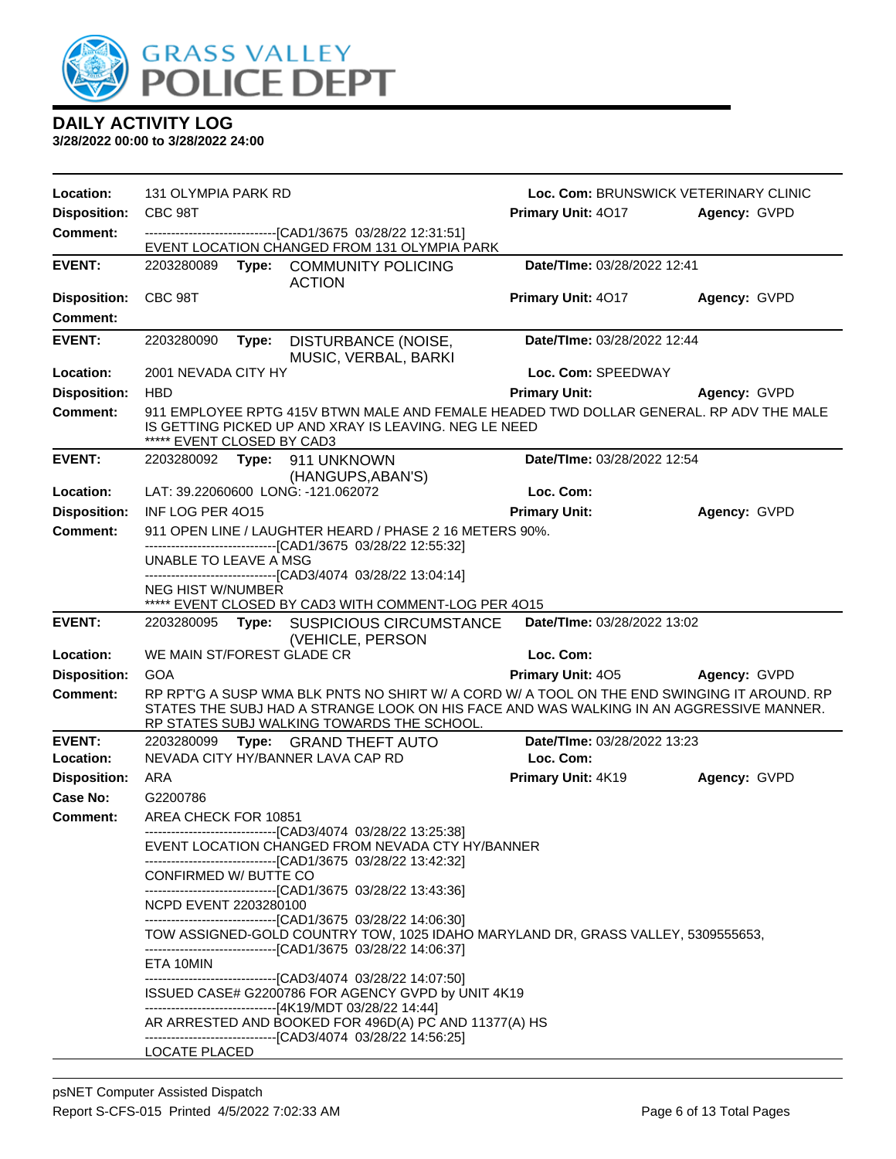

| Location:           | 131 OLYMPIA PARK RD        |                                                                                                                                                                                                                  |                                    | Loc. Com: BRUNSWICK VETERINARY CLINIC |
|---------------------|----------------------------|------------------------------------------------------------------------------------------------------------------------------------------------------------------------------------------------------------------|------------------------------------|---------------------------------------|
| <b>Disposition:</b> | CBC 98T                    |                                                                                                                                                                                                                  | Primary Unit: 4017                 | Agency: GVPD                          |
| <b>Comment:</b>     |                            | ---------------------------------[CAD1/3675 03/28/22 12:31:51]<br>EVENT LOCATION CHANGED FROM 131 OLYMPIA PARK                                                                                                   |                                    |                                       |
| <b>EVENT:</b>       |                            | 2203280089 Type: COMMUNITY POLICING<br><b>ACTION</b>                                                                                                                                                             | Date/TIme: 03/28/2022 12:41        |                                       |
| <b>Disposition:</b> | CBC 98T                    |                                                                                                                                                                                                                  | Primary Unit: 4017                 | Agency: GVPD                          |
| <b>Comment:</b>     |                            |                                                                                                                                                                                                                  |                                    |                                       |
| <b>EVENT:</b>       | 2203280090                 | Type: DISTURBANCE (NOISE,<br>MUSIC, VERBAL, BARKI                                                                                                                                                                | Date/TIme: 03/28/2022 12:44        |                                       |
| Location:           | 2001 NEVADA CITY HY        |                                                                                                                                                                                                                  | Loc. Com: SPEEDWAY                 |                                       |
| <b>Disposition:</b> | <b>HBD</b>                 |                                                                                                                                                                                                                  | <b>Primary Unit:</b>               | Agency: GVPD                          |
| <b>Comment:</b>     | ***** EVENT CLOSED BY CAD3 | 911 EMPLOYEE RPTG 415V BTWN MALE AND FEMALE HEADED TWD DOLLAR GENERAL. RP ADV THE MALE<br>IS GETTING PICKED UP AND XRAY IS LEAVING. NEG LE NEED                                                                  |                                    |                                       |
| <b>EVENT:</b>       |                            | 2203280092 Type: 911 UNKNOWN<br>(HANGUPS, ABAN'S)                                                                                                                                                                | <b>Date/Time: 03/28/2022 12:54</b> |                                       |
| Location:           |                            | LAT: 39.22060600 LONG: -121.062072                                                                                                                                                                               | Loc. Com:                          |                                       |
| <b>Disposition:</b> | INF LOG PER 4015           |                                                                                                                                                                                                                  | <b>Primary Unit:</b>               | Agency: GVPD                          |
| <b>Comment:</b>     |                            | 911 OPEN LINE / LAUGHTER HEARD / PHASE 2 16 METERS 90%.                                                                                                                                                          |                                    |                                       |
|                     | UNABLE TO LEAVE A MSG      | -------------------------------[CAD1/3675 03/28/22 12:55:32]                                                                                                                                                     |                                    |                                       |
|                     |                            | -------------------------------[CAD3/4074 03/28/22 13:04:14]                                                                                                                                                     |                                    |                                       |
|                     | <b>NEG HIST W/NUMBER</b>   | ***** EVENT CLOSED BY CAD3 WITH COMMENT-LOG PER 4015                                                                                                                                                             |                                    |                                       |
| <b>EVENT:</b>       |                            | 2203280095 Type: SUSPICIOUS CIRCUMSTANCE                                                                                                                                                                         | Date/TIme: 03/28/2022 13:02        |                                       |
|                     |                            | (VEHICLE, PERSON                                                                                                                                                                                                 |                                    |                                       |
| Location:           | WE MAIN ST/FOREST GLADE CR |                                                                                                                                                                                                                  | Loc. Com:                          |                                       |
| <b>Disposition:</b> | <b>GOA</b>                 |                                                                                                                                                                                                                  | <b>Primary Unit: 405</b>           | Agency: GVPD                          |
| <b>Comment:</b>     |                            | RP RPT'G A SUSP WMA BLK PNTS NO SHIRT W/ A CORD W/ A TOOL ON THE END SWINGING IT AROUND. RP                                                                                                                      |                                    |                                       |
|                     |                            | STATES THE SUBJ HAD A STRANGE LOOK ON HIS FACE AND WAS WALKING IN AN AGGRESSIVE MANNER.<br>RP STATES SUBJ WALKING TOWARDS THE SCHOOL.                                                                            |                                    |                                       |
| <b>EVENT:</b>       |                            | 2203280099 Type: GRAND THEFT AUTO                                                                                                                                                                                | Date/TIme: 03/28/2022 13:23        |                                       |
| Location:           |                            | NEVADA CITY HY/BANNER LAVA CAP RD                                                                                                                                                                                | Loc. Com:                          |                                       |
| <b>Disposition:</b> | ARA                        |                                                                                                                                                                                                                  | Primary Unit: 4K19                 | Agency: GVPD                          |
| Case No:            | G2200786                   |                                                                                                                                                                                                                  |                                    |                                       |
| Comment:            | AREA CHECK FOR 10851       |                                                                                                                                                                                                                  |                                    |                                       |
|                     |                            | --------------------------------[CAD3/4074_03/28/22 13:25:38]<br>EVENT LOCATION CHANGED FROM NEVADA CTY HY/BANNER<br>----------------------------[CAD1/3675_03/28/22_13:42:32]                                   |                                    |                                       |
|                     | CONFIRMED W/ BUTTE CO      | -------------------------------[CAD1/3675 03/28/22 13:43:36]                                                                                                                                                     |                                    |                                       |
|                     | NCPD EVENT 2203280100      |                                                                                                                                                                                                                  |                                    |                                       |
|                     |                            | ------------------------------[CAD1/3675 03/28/22 14:06:30]<br>TOW ASSIGNED-GOLD COUNTRY TOW, 1025 IDAHO MARYLAND DR, GRASS VALLEY, 5309555653,<br>--------------------------------[CAD1/3675 03/28/22 14:06:37] |                                    |                                       |
|                     | ETA 10MIN                  |                                                                                                                                                                                                                  |                                    |                                       |
|                     |                            | -------------------------------[CAD3/4074 03/28/22 14:07:50]<br>ISSUED CASE# G2200786 FOR AGENCY GVPD by UNIT 4K19<br>------------------------------[4K19/MDT 03/28/22 14:44]                                    |                                    |                                       |
|                     |                            | AR ARRESTED AND BOOKED FOR 496D(A) PC AND 11377(A) HS<br>-------------------------------[CAD3/4074 03/28/22 14:56:25]                                                                                            |                                    |                                       |
|                     | LOCATE PLACED              |                                                                                                                                                                                                                  |                                    |                                       |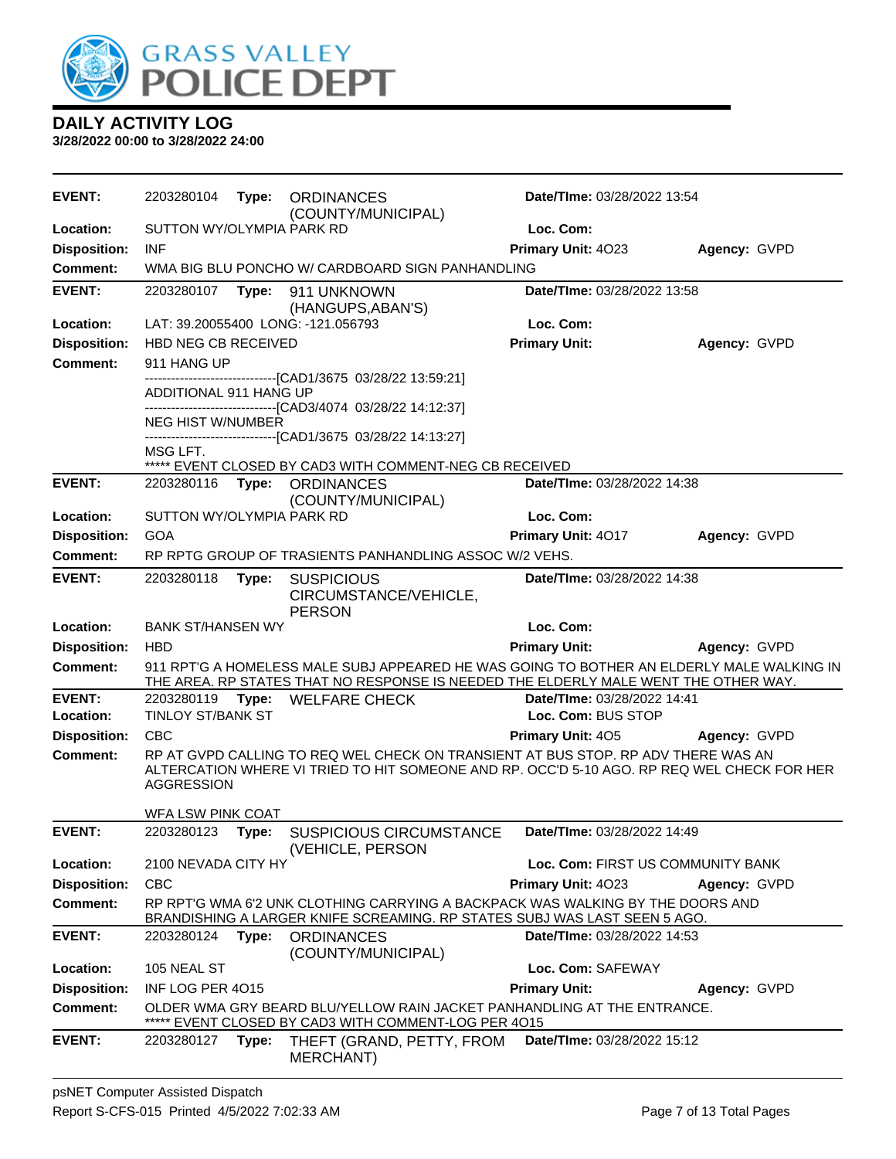

| <b>EVENT:</b>       | 2203280104                 | Type: | <b>ORDINANCES</b><br>(COUNTY/MUNICIPAL)                                                                                                                                         | <b>Date/Time: 03/28/2022 13:54</b> |              |
|---------------------|----------------------------|-------|---------------------------------------------------------------------------------------------------------------------------------------------------------------------------------|------------------------------------|--------------|
| Location:           | SUTTON WY/OLYMPIA PARK RD  |       |                                                                                                                                                                                 | Loc. Com:                          |              |
| <b>Disposition:</b> | <b>INF</b>                 |       |                                                                                                                                                                                 | Primary Unit: 4023                 | Agency: GVPD |
| <b>Comment:</b>     |                            |       | WMA BIG BLU PONCHO W/ CARDBOARD SIGN PANHANDLING                                                                                                                                |                                    |              |
| <b>EVENT:</b>       | 2203280107                 | Type: | 911 UNKNOWN                                                                                                                                                                     | Date/TIme: 03/28/2022 13:58        |              |
| Location:           |                            |       | (HANGUPS, ABAN'S)<br>LAT: 39.20055400 LONG: -121.056793                                                                                                                         | Loc. Com:                          |              |
| <b>Disposition:</b> | <b>HBD NEG CB RECEIVED</b> |       |                                                                                                                                                                                 | <b>Primary Unit:</b>               | Agency: GVPD |
| <b>Comment:</b>     | 911 HANG UP                |       |                                                                                                                                                                                 |                                    |              |
|                     |                            |       | ----------------[CAD1/3675_03/28/22 13:59:21]                                                                                                                                   |                                    |              |
|                     | ADDITIONAL 911 HANG UP     |       |                                                                                                                                                                                 |                                    |              |
|                     | <b>NEG HIST W/NUMBER</b>   |       | -------------------------------[CAD3/4074_03/28/22 14:12:37]                                                                                                                    |                                    |              |
|                     |                            |       | -------------------------------[CAD1/3675 03/28/22 14:13:27]                                                                                                                    |                                    |              |
|                     | MSG LFT.                   |       | ***** EVENT CLOSED BY CAD3 WITH COMMENT-NEG CB RECEIVED                                                                                                                         |                                    |              |
| <b>EVENT:</b>       |                            |       | 2203280116 Type: ORDINANCES                                                                                                                                                     | Date/TIme: 03/28/2022 14:38        |              |
|                     |                            |       | (COUNTY/MUNICIPAL)                                                                                                                                                              |                                    |              |
| Location:           | SUTTON WY/OLYMPIA PARK RD  |       |                                                                                                                                                                                 | Loc. Com:                          |              |
| <b>Disposition:</b> | GOA                        |       |                                                                                                                                                                                 | <b>Primary Unit: 4017</b>          | Agency: GVPD |
| Comment:            |                            |       | RP RPTG GROUP OF TRASIENTS PANHANDLING ASSOC W/2 VEHS.                                                                                                                          |                                    |              |
| <b>EVENT:</b>       | 2203280118                 | Type: | <b>SUSPICIOUS</b><br>CIRCUMSTANCE/VEHICLE,                                                                                                                                      | Date/TIme: 03/28/2022 14:38        |              |
| Location:           | <b>BANK ST/HANSEN WY</b>   |       | <b>PERSON</b>                                                                                                                                                                   | Loc. Com:                          |              |
| <b>Disposition:</b> | <b>HBD</b>                 |       |                                                                                                                                                                                 | <b>Primary Unit:</b>               | Agency: GVPD |
| <b>Comment:</b>     |                            |       | 911 RPT'G A HOMELESS MALE SUBJ APPEARED HE WAS GOING TO BOTHER AN ELDERLY MALE WALKING IN                                                                                       |                                    |              |
|                     |                            |       | THE AREA. RP STATES THAT NO RESPONSE IS NEEDED THE ELDERLY MALE WENT THE OTHER WAY.                                                                                             |                                    |              |
| <b>EVENT:</b>       | 2203280119                 |       | Type: WELFARE CHECK                                                                                                                                                             | <b>Date/Time: 03/28/2022 14:41</b> |              |
| Location:           | <b>TINLOY ST/BANK ST</b>   |       |                                                                                                                                                                                 | Loc. Com: BUS STOP                 |              |
| <b>Disposition:</b> | <b>CBC</b>                 |       |                                                                                                                                                                                 | <b>Primary Unit: 405</b>           | Agency: GVPD |
| Comment:            | <b>AGGRESSION</b>          |       | RP AT GVPD CALLING TO REQ WEL CHECK ON TRANSIENT AT BUS STOP. RP ADV THERE WAS AN<br>ALTERCATION WHERE VI TRIED TO HIT SOMEONE AND RP. OCC'D 5-10 AGO. RP REQ WEL CHECK FOR HER |                                    |              |
|                     | WFA LSW PINK COAT          |       |                                                                                                                                                                                 |                                    |              |
| <b>EVENT:</b>       |                            |       | 2203280123 Type: SUSPICIOUS CIRCUMSTANCE<br>(VEHICLE, PERSON                                                                                                                    | Date/TIme: 03/28/2022 14:49        |              |
| Location:           | 2100 NEVADA CITY HY        |       |                                                                                                                                                                                 | Loc. Com: FIRST US COMMUNITY BANK  |              |
| <b>Disposition:</b> | <b>CBC</b>                 |       |                                                                                                                                                                                 | Primary Unit: 4023                 | Agency: GVPD |
| <b>Comment:</b>     |                            |       | RP RPT'G WMA 6'2 UNK CLOTHING CARRYING A BACKPACK WAS WALKING BY THE DOORS AND<br>BRANDISHING A LARGER KNIFE SCREAMING. RP STATES SUBJ WAS LAST SEEN 5 AGO.                     |                                    |              |
| <b>EVENT:</b>       | 2203280124                 | Type: | <b>ORDINANCES</b><br>(COUNTY/MUNICIPAL)                                                                                                                                         | Date/TIme: 03/28/2022 14:53        |              |
| Location:           | 105 NEAL ST                |       |                                                                                                                                                                                 | Loc. Com: SAFEWAY                  |              |
| <b>Disposition:</b> | INF LOG PER 4015           |       |                                                                                                                                                                                 | <b>Primary Unit:</b>               | Agency: GVPD |
| <b>Comment:</b>     |                            |       | OLDER WMA GRY BEARD BLU/YELLOW RAIN JACKET PANHANDLING AT THE ENTRANCE.<br>EVENT CLOSED BY CAD3 WITH COMMENT-LOG PER 4015                                                       |                                    |              |
| <b>EVENT:</b>       | 2203280127                 | Type: | THEFT (GRAND, PETTY, FROM<br><b>MERCHANT)</b>                                                                                                                                   | Date/TIme: 03/28/2022 15:12        |              |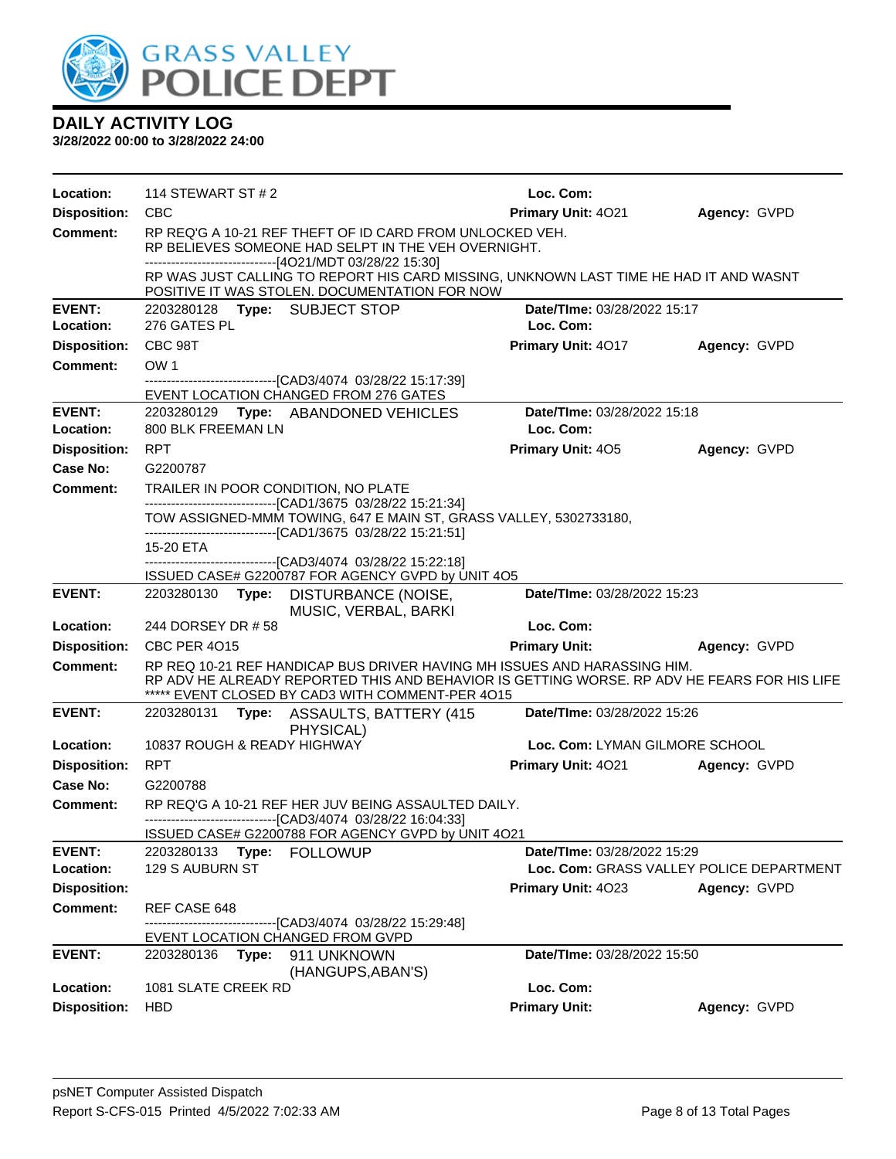

| Location:                              | 114 STEWART ST # 2                                                                                                                                                          |                               | Loc. Com:                                |              |
|----------------------------------------|-----------------------------------------------------------------------------------------------------------------------------------------------------------------------------|-------------------------------|------------------------------------------|--------------|
| <b>Disposition:</b>                    | <b>CBC</b>                                                                                                                                                                  |                               | Primary Unit: 4021                       | Agency: GVPD |
| <b>Comment:</b>                        | RP REQ'G A 10-21 REF THEFT OF ID CARD FROM UNLOCKED VEH.<br>RP BELIEVES SOMEONE HAD SELPT IN THE VEH OVERNIGHT.<br>-------------------------------[4O21/MDT 03/28/22 15:30] |                               |                                          |              |
|                                        | RP WAS JUST CALLING TO REPORT HIS CARD MISSING, UNKNOWN LAST TIME HE HAD IT AND WASNT<br>POSITIVE IT WAS STOLEN. DOCUMENTATION FOR NOW                                      |                               |                                          |              |
| <b>EVENT:</b>                          | 2203280128 Type: SUBJECT STOP                                                                                                                                               |                               | Date/TIme: 03/28/2022 15:17              |              |
| Location:                              | 276 GATES PL                                                                                                                                                                |                               | Loc. Com:                                |              |
| <b>Disposition:</b>                    | CBC 98T                                                                                                                                                                     |                               | <b>Primary Unit: 4017</b>                | Agency: GVPD |
| <b>Comment:</b>                        | OW <sub>1</sub>                                                                                                                                                             |                               |                                          |              |
|                                        | -------------------------------[CAD3/4074_03/28/22 15:17:39]<br>EVENT LOCATION CHANGED FROM 276 GATES                                                                       |                               |                                          |              |
| <b>EVENT:</b>                          | 2203280129 Type: ABANDONED VEHICLES                                                                                                                                         |                               | Date/TIme: 03/28/2022 15:18              |              |
| Location:                              | 800 BLK FREEMAN LN                                                                                                                                                          |                               | Loc. Com:                                |              |
| <b>Disposition:</b>                    | <b>RPT</b>                                                                                                                                                                  |                               | <b>Primary Unit: 405</b>                 | Agency: GVPD |
| Case No:                               | G2200787                                                                                                                                                                    |                               |                                          |              |
| <b>Comment:</b>                        | TRAILER IN POOR CONDITION, NO PLATE                                                                                                                                         |                               |                                          |              |
|                                        | -------------------------------[CAD1/3675 03/28/22 15:21:34]<br>TOW ASSIGNED-MMM TOWING, 647 E MAIN ST, GRASS VALLEY, 5302733180,                                           |                               |                                          |              |
|                                        | -------------------------------[CAD1/3675 03/28/22 15:21:51]                                                                                                                |                               |                                          |              |
|                                        | 15-20 ETA                                                                                                                                                                   |                               |                                          |              |
|                                        | -------------------------------[CAD3/4074 03/28/22 15:22:18]<br>ISSUED CASE# G2200787 FOR AGENCY GVPD by UNIT 4O5                                                           |                               |                                          |              |
| <b>EVENT:</b>                          | 2203280130 Type: DISTURBANCE (NOISE,                                                                                                                                        | MUSIC, VERBAL, BARKI          | Date/TIme: 03/28/2022 15:23              |              |
| Location:                              | 244 DORSEY DR #58                                                                                                                                                           |                               | Loc. Com:                                |              |
| <b>Disposition:</b>                    | <b>CBC PER 4015</b>                                                                                                                                                         |                               | <b>Primary Unit:</b>                     | Agency: GVPD |
| Comment:                               | RP REQ 10-21 REF HANDICAP BUS DRIVER HAVING MH ISSUES AND HARASSING HIM.                                                                                                    |                               |                                          |              |
|                                        | RP ADV HE ALREADY REPORTED THIS AND BEHAVIOR IS GETTING WORSE. RP ADV HE FEARS FOR HIS LIFE<br>***** EVENT CLOSED BY CAD3 WITH COMMENT-PER 4015                             |                               |                                          |              |
| <b>EVENT:</b>                          | 2203280131                                                                                                                                                                  | Type: ASSAULTS, BATTERY (415) | Date/TIme: 03/28/2022 15:26              |              |
| Location:                              | PHYSICAL)<br>10837 ROUGH & READY HIGHWAY                                                                                                                                    |                               | Loc. Com: LYMAN GILMORE SCHOOL           |              |
| <b>Disposition:</b>                    | <b>RPT</b>                                                                                                                                                                  |                               | <b>Primary Unit: 4021</b>                | Agency: GVPD |
| Case No:                               | G2200788                                                                                                                                                                    |                               |                                          |              |
| Comment:                               | RP REQ'G A 10-21 REF HER JUV BEING ASSAULTED DAILY.                                                                                                                         |                               |                                          |              |
|                                        | ------------------------------[CAD3/4074 03/28/22 16:04:33]                                                                                                                 |                               |                                          |              |
|                                        | ISSUED CASE# G2200788 FOR AGENCY GVPD by UNIT 4O21                                                                                                                          |                               |                                          |              |
| <b>EVENT:</b>                          | 2203280133<br>Type:<br><b>FOLLOWUP</b>                                                                                                                                      |                               | Date/TIme: 03/28/2022 15:29              |              |
| Location:                              | 129 S AUBURN ST                                                                                                                                                             |                               | Loc. Com: GRASS VALLEY POLICE DEPARTMENT |              |
| <b>Disposition:</b><br><b>Comment:</b> |                                                                                                                                                                             |                               | Primary Unit: 4023                       | Agency: GVPD |
|                                        | REF CASE 648<br>--------------------------[CAD3/4074_03/28/22 15:29:48]                                                                                                     |                               |                                          |              |
|                                        | EVENT LOCATION CHANGED FROM GVPD                                                                                                                                            |                               |                                          |              |
| <b>EVENT:</b>                          | 2203280136<br>Type: 911 UNKNOWN                                                                                                                                             | (HANGUPS, ABAN'S)             | Date/TIme: 03/28/2022 15:50              |              |
| Location:                              | 1081 SLATE CREEK RD                                                                                                                                                         |                               | Loc. Com:                                |              |
| <b>Disposition:</b>                    | <b>HBD</b>                                                                                                                                                                  |                               | <b>Primary Unit:</b>                     | Agency: GVPD |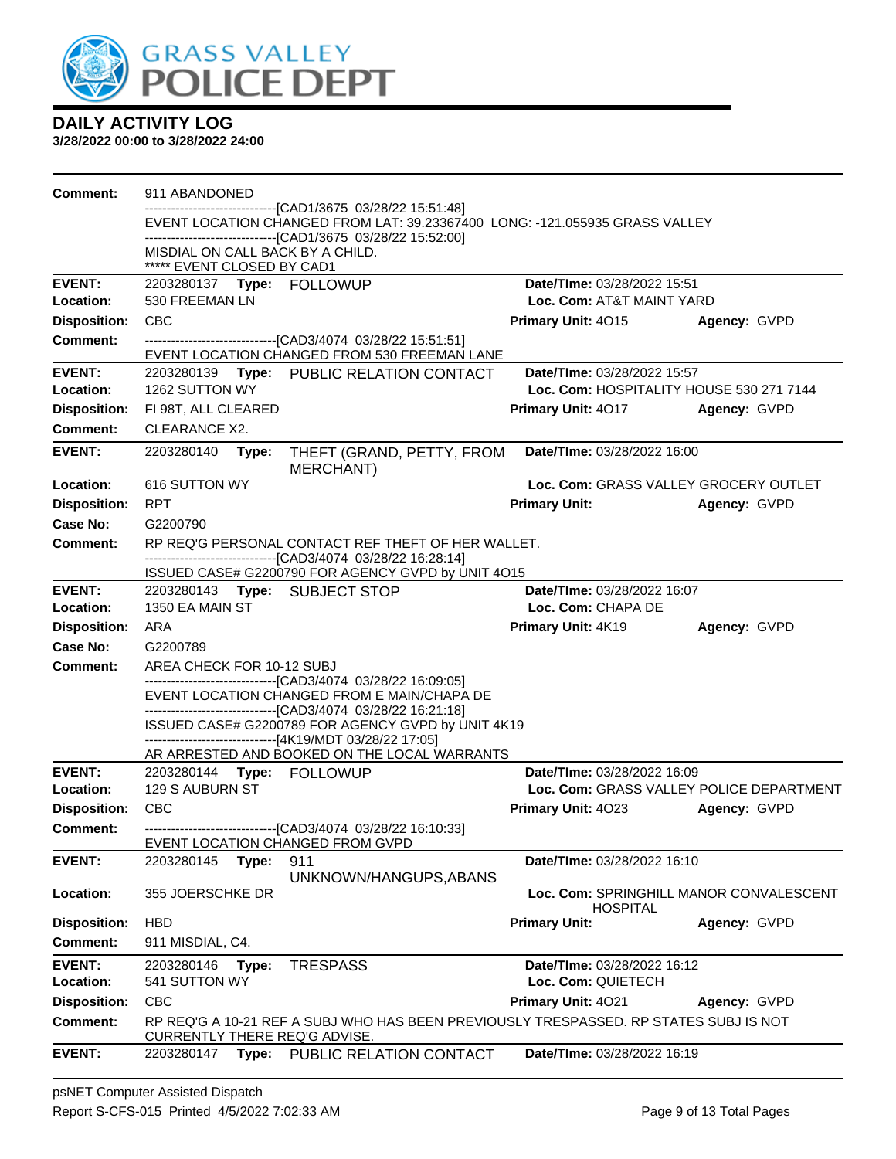

| <b>Comment:</b>            | 911 ABANDONED                                                  |                                                                                                                                             |                                                                         |              |
|----------------------------|----------------------------------------------------------------|---------------------------------------------------------------------------------------------------------------------------------------------|-------------------------------------------------------------------------|--------------|
|                            |                                                                | -------------------------------[CAD1/3675_03/28/22 15:51:48]<br>EVENT LOCATION CHANGED FROM LAT: 39.23367400 LONG: -121.055935 GRASS VALLEY |                                                                         |              |
|                            |                                                                | -------------------------------[CAD1/3675 03/28/22 15:52:00]                                                                                |                                                                         |              |
|                            | MISDIAL ON CALL BACK BY A CHILD.<br>***** EVENT CLOSED BY CAD1 |                                                                                                                                             |                                                                         |              |
| <b>EVENT:</b>              |                                                                |                                                                                                                                             | Date/TIme: 03/28/2022 15:51                                             |              |
| Location:                  | 530 FREEMAN LN                                                 |                                                                                                                                             | Loc. Com: AT&T MAINT YARD                                               |              |
| <b>Disposition:</b>        | CBC                                                            |                                                                                                                                             | Primary Unit: 4015                                                      | Agency: GVPD |
| <b>Comment:</b>            |                                                                | EVENT LOCATION CHANGED FROM 530 FREEMAN LANE                                                                                                |                                                                         |              |
| <b>EVENT:</b>              |                                                                | 2203280139 Type: PUBLIC RELATION CONTACT                                                                                                    | Date/TIme: 03/28/2022 15:57                                             |              |
| Location:                  | 1262 SUTTON WY                                                 |                                                                                                                                             | Loc. Com: HOSPITALITY HOUSE 530 271 7144                                |              |
| <b>Disposition:</b>        | FI 98T, ALL CLEARED                                            |                                                                                                                                             | <b>Primary Unit: 4017</b>                                               | Agency: GVPD |
| <b>Comment:</b>            | <b>CLEARANCE X2.</b>                                           |                                                                                                                                             |                                                                         |              |
| <b>EVENT:</b>              | 2203280140<br>Type:                                            | THEFT (GRAND, PETTY, FROM<br><b>MERCHANT)</b>                                                                                               | Date/TIme: 03/28/2022 16:00                                             |              |
| Location:                  | 616 SUTTON WY                                                  |                                                                                                                                             | Loc. Com: GRASS VALLEY GROCERY OUTLET                                   |              |
| <b>Disposition:</b>        | <b>RPT</b>                                                     |                                                                                                                                             | <b>Primary Unit:</b>                                                    | Agency: GVPD |
| Case No:                   | G2200790                                                       |                                                                                                                                             |                                                                         |              |
| Comment:                   |                                                                | RP REQ'G PERSONAL CONTACT REF THEFT OF HER WALLET.                                                                                          |                                                                         |              |
|                            |                                                                | -------------------------------[CAD3/4074 03/28/22 16:28:14]<br>ISSUED CASE# G2200790 FOR AGENCY GVPD by UNIT 4O15                          |                                                                         |              |
| <b>EVENT:</b>              |                                                                |                                                                                                                                             | Date/TIme: 03/28/2022 16:07                                             |              |
| Location:                  | 1350 EA MAIN ST                                                |                                                                                                                                             | Loc. Com: CHAPA DE                                                      |              |
| <b>Disposition:</b>        | <b>ARA</b>                                                     |                                                                                                                                             | Primary Unit: 4K19                                                      | Agency: GVPD |
| <b>Case No:</b>            | G2200789                                                       |                                                                                                                                             |                                                                         |              |
| <b>Comment:</b>            | AREA CHECK FOR 10-12 SUBJ                                      | ------------------------------[CAD3/4074_03/28/22 16:09:05]                                                                                 |                                                                         |              |
|                            |                                                                | EVENT LOCATION CHANGED FROM E MAIN/CHAPA DE                                                                                                 |                                                                         |              |
|                            |                                                                | -------------------------------[CAD3/4074_03/28/22 16:21:18]<br>ISSUED CASE# G2200789 FOR AGENCY GVPD by UNIT 4K19                          |                                                                         |              |
|                            |                                                                | ------------------------------[4K19/MDT 03/28/22 17:05]                                                                                     |                                                                         |              |
|                            |                                                                | AR ARRESTED AND BOOKED ON THE LOCAL WARRANTS                                                                                                |                                                                         |              |
| <b>EVENT:</b><br>Location: | 2203280144 Type: FOLLOWUP<br>129 S AUBURN ST                   |                                                                                                                                             | Date/TIme: 03/28/2022 16:09<br>Loc. Com: GRASS VALLEY POLICE DEPARTMENT |              |
| <b>Disposition:</b>        | <b>CBC</b>                                                     |                                                                                                                                             | <b>Primary Unit: 4023</b>                                               | Agency: GVPD |
| <b>Comment:</b>            |                                                                | ---------------------------------[CAD3/4074 03/28/22 16:10:33]                                                                              |                                                                         |              |
|                            | EVENT LOCATION CHANGED FROM GVPD                               |                                                                                                                                             |                                                                         |              |
| <b>EVENT:</b>              | 2203280145<br>Type:                                            | 911                                                                                                                                         | Date/TIme: 03/28/2022 16:10                                             |              |
| Location:                  | 355 JOERSCHKE DR                                               | UNKNOWN/HANGUPS, ABANS                                                                                                                      | Loc. Com: SPRINGHILL MANOR CONVALESCENT                                 |              |
|                            |                                                                |                                                                                                                                             | <b>HOSPITAL</b>                                                         |              |
| <b>Disposition:</b>        | <b>HBD</b>                                                     |                                                                                                                                             | <b>Primary Unit:</b>                                                    | Agency: GVPD |
| <b>Comment:</b>            | 911 MISDIAL, C4.                                               |                                                                                                                                             |                                                                         |              |
| <b>EVENT:</b>              | 2203280146<br>Type:                                            | <b>TRESPASS</b>                                                                                                                             | Date/TIme: 03/28/2022 16:12                                             |              |
| Location:                  | 541 SUTTON WY                                                  |                                                                                                                                             | Loc. Com: QUIETECH                                                      |              |
| <b>Disposition:</b>        | <b>CBC</b>                                                     |                                                                                                                                             | Primary Unit: 4021                                                      | Agency: GVPD |
| <b>Comment:</b>            | CURRENTLY THERE REQ'G ADVISE.                                  | RP REQ'G A 10-21 REF A SUBJ WHO HAS BEEN PREVIOUSLY TRESPASSED. RP STATES SUBJ IS NOT                                                       |                                                                         |              |
| <b>EVENT:</b>              | 2203280147                                                     | Type: PUBLIC RELATION CONTACT                                                                                                               | <b>Date/Time: 03/28/2022 16:19</b>                                      |              |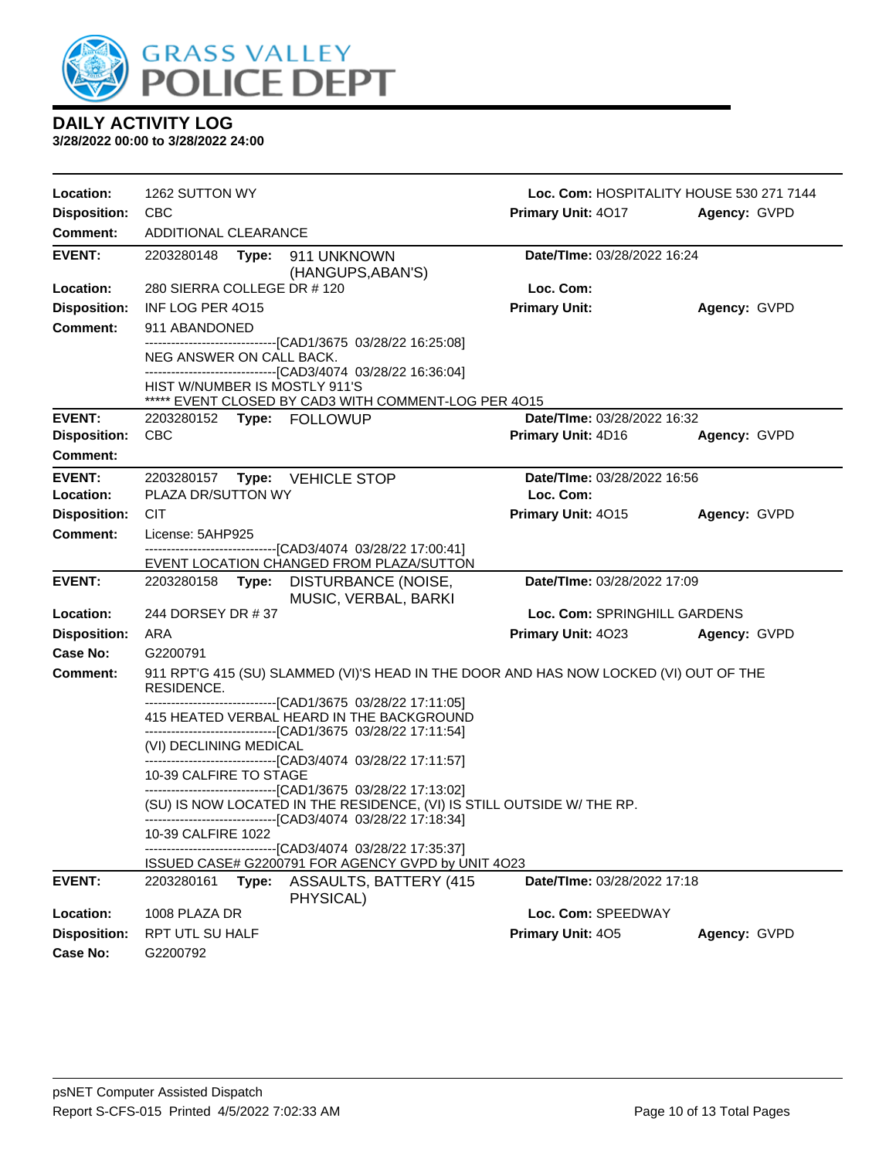

| Location:           | 1262 SUTTON WY                                                                                                                                                                                        | Loc. Com: HOSPITALITY HOUSE 530 271 7144 |              |
|---------------------|-------------------------------------------------------------------------------------------------------------------------------------------------------------------------------------------------------|------------------------------------------|--------------|
| <b>Disposition:</b> | <b>CBC</b>                                                                                                                                                                                            | Primary Unit: 4017                       | Agency: GVPD |
| <b>Comment:</b>     | ADDITIONAL CLEARANCE                                                                                                                                                                                  |                                          |              |
| <b>EVENT:</b>       | 2203280148<br>Type: 911 UNKNOWN<br>(HANGUPS, ABAN'S)                                                                                                                                                  | Date/TIme: 03/28/2022 16:24              |              |
| Location:           | 280 SIERRA COLLEGE DR #120                                                                                                                                                                            | Loc. Com:                                |              |
| <b>Disposition:</b> | INF LOG PER 4015                                                                                                                                                                                      | <b>Primary Unit:</b>                     | Agency: GVPD |
| <b>Comment:</b>     | 911 ABANDONED                                                                                                                                                                                         |                                          |              |
|                     | -------------------------------[CAD1/3675 03/28/22 16:25:08]<br>NEG ANSWER ON CALL BACK.                                                                                                              |                                          |              |
|                     | ------------------------------[CAD3/4074 03/28/22 16:36:04]<br>HIST W/NUMBER IS MOSTLY 911'S<br>***** EVENT CLOSED BY CAD3 WITH COMMENT-LOG PER 4O15                                                  |                                          |              |
| <b>EVENT:</b>       | 2203280152 Type: FOLLOWUP                                                                                                                                                                             | Date/TIme: 03/28/2022 16:32              |              |
| <b>Disposition:</b> | <b>CBC</b>                                                                                                                                                                                            | Primary Unit: 4D16                       | Agency: GVPD |
| Comment:            |                                                                                                                                                                                                       |                                          |              |
| <b>EVENT:</b>       | 2203280157<br>Type: VEHICLE STOP                                                                                                                                                                      | Date/TIme: 03/28/2022 16:56              |              |
| Location:           | PLAZA DR/SUTTON WY                                                                                                                                                                                    | Loc. Com:                                |              |
| <b>Disposition:</b> | <b>CIT</b>                                                                                                                                                                                            | Primary Unit: 4015                       | Agency: GVPD |
| <b>Comment:</b>     | License: 5AHP925                                                                                                                                                                                      |                                          |              |
|                     | ------------------------------[CAD3/4074_03/28/22 17:00:41]<br>EVENT LOCATION CHANGED FROM PLAZA/SUTTON                                                                                               |                                          |              |
| <b>EVENT:</b>       | 2203280158<br>Type: DISTURBANCE (NOISE,<br>MUSIC, VERBAL, BARKI                                                                                                                                       | Date/TIme: 03/28/2022 17:09              |              |
| Location:           | 244 DORSEY DR #37                                                                                                                                                                                     | Loc. Com: SPRINGHILL GARDENS             |              |
| <b>Disposition:</b> | ARA                                                                                                                                                                                                   | <b>Primary Unit: 4023</b>                | Agency: GVPD |
| Case No:            | G2200791                                                                                                                                                                                              |                                          |              |
| <b>Comment:</b>     | 911 RPT'G 415 (SU) SLAMMED (VI)'S HEAD IN THE DOOR AND HAS NOW LOCKED (VI) OUT OF THE<br>RESIDENCE.                                                                                                   |                                          |              |
|                     | ---------------------------[CAD1/3675 03/28/22 17:11:05]<br>415 HEATED VERBAL HEARD IN THE BACKGROUND                                                                                                 |                                          |              |
|                     | ------------------------------[CAD1/3675 03/28/22 17:11:54]                                                                                                                                           |                                          |              |
|                     | (VI) DECLINING MEDICAL<br>-------------------------------[CAD3/4074 03/28/22 17:11:57]                                                                                                                |                                          |              |
|                     | 10-39 CALFIRE TO STAGE                                                                                                                                                                                |                                          |              |
|                     | -------------------------------[CAD1/3675 03/28/22 17:13:02]<br>(SU) IS NOW LOCATED IN THE RESIDENCE, (VI) IS STILL OUTSIDE W/ THE RP.<br>------------------------------[CAD3/4074 03/28/22 17:18:34] |                                          |              |
|                     | 10-39 CALFIRE 1022                                                                                                                                                                                    |                                          |              |
|                     | -------------------[CAD3/4074_03/28/22 17:35:37]<br>ISSUED CASE# G2200791 FOR AGENCY GVPD by UNIT 4O23                                                                                                |                                          |              |
| <b>EVENT:</b>       | Type:<br>ASSAULTS, BATTERY (415<br>2203280161<br>PHYSICAL)                                                                                                                                            | Date/TIme: 03/28/2022 17:18              |              |
| Location:           | 1008 PLAZA DR                                                                                                                                                                                         | Loc. Com: SPEEDWAY                       |              |
| <b>Disposition:</b> | RPT UTL SU HALF                                                                                                                                                                                       | Primary Unit: 405                        | Agency: GVPD |
| <b>Case No:</b>     | G2200792                                                                                                                                                                                              |                                          |              |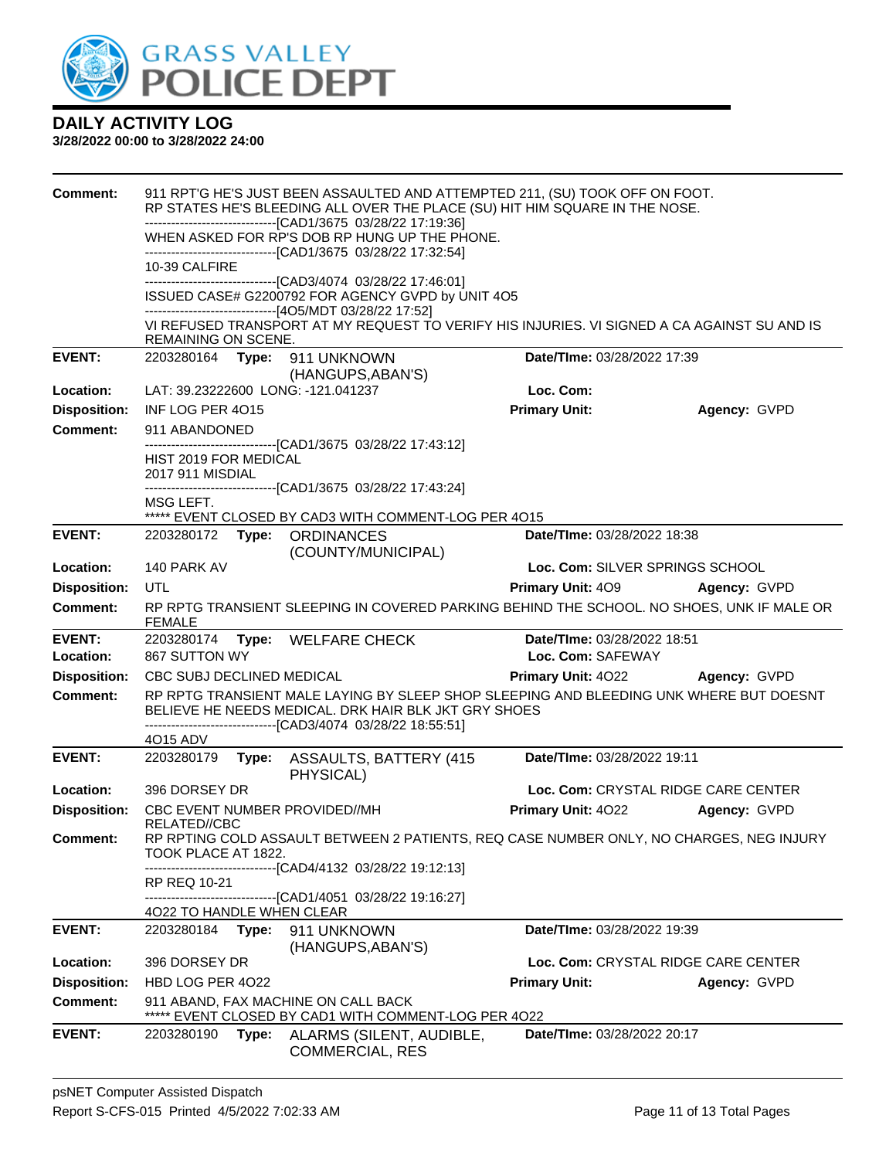

| <b>Comment:</b>     |                                           |       | 911 RPT'G HE'S JUST BEEN ASSAULTED AND ATTEMPTED 211, (SU) TOOK OFF ON FOOT.<br>RP STATES HE'S BLEEDING ALL OVER THE PLACE (SU) HIT HIM SQUARE IN THE NOSE.                                                    |                             |                                     |
|---------------------|-------------------------------------------|-------|----------------------------------------------------------------------------------------------------------------------------------------------------------------------------------------------------------------|-----------------------------|-------------------------------------|
|                     |                                           |       | -------------------------------[CAD1/3675 03/28/22 17:19:36]                                                                                                                                                   |                             |                                     |
|                     |                                           |       | WHEN ASKED FOR RP'S DOB RP HUNG UP THE PHONE.                                                                                                                                                                  |                             |                                     |
|                     | 10-39 CALFIRE                             |       | -------------------------------[CAD1/3675_03/28/22 17:32:54]                                                                                                                                                   |                             |                                     |
|                     |                                           |       | ------------------------------[CAD3/4074_03/28/22 17:46:01]                                                                                                                                                    |                             |                                     |
|                     |                                           |       | ISSUED CASE# G2200792 FOR AGENCY GVPD by UNIT 4O5<br>------------------------------[4O5/MDT 03/28/22 17:52]                                                                                                    |                             |                                     |
|                     |                                           |       | VI REFUSED TRANSPORT AT MY REQUEST TO VERIFY HIS INJURIES. VI SIGNED A CA AGAINST SU AND IS                                                                                                                    |                             |                                     |
|                     | REMAINING ON SCENE.                       |       |                                                                                                                                                                                                                |                             |                                     |
| <b>EVENT:</b>       |                                           |       | 2203280164    Type: 911    UNKNOWN                                                                                                                                                                             | Date/TIme: 03/28/2022 17:39 |                                     |
| Location:           |                                           |       | (HANGUPS, ABAN'S)<br>LAT: 39.23222600 LONG: -121.041237                                                                                                                                                        | Loc. Com:                   |                                     |
| <b>Disposition:</b> | INF LOG PER 4015                          |       |                                                                                                                                                                                                                | <b>Primary Unit:</b>        | Agency: GVPD                        |
| <b>Comment:</b>     | 911 ABANDONED                             |       |                                                                                                                                                                                                                |                             |                                     |
|                     |                                           |       | -------------------------------[CAD1/3675_03/28/22_17:43:12]                                                                                                                                                   |                             |                                     |
|                     | HIST 2019 FOR MEDICAL<br>2017 911 MISDIAL |       |                                                                                                                                                                                                                |                             |                                     |
|                     |                                           |       | ------------------------------[CAD1/3675 03/28/22 17:43:24]                                                                                                                                                    |                             |                                     |
|                     | MSG LEFT.                                 |       |                                                                                                                                                                                                                |                             |                                     |
| <b>EVENT:</b>       |                                           |       | ***** EVENT CLOSED BY CAD3 WITH COMMENT-LOG PER 4015<br>2203280172 Type: ORDINANCES                                                                                                                            | Date/TIme: 03/28/2022 18:38 |                                     |
|                     |                                           |       | (COUNTY/MUNICIPAL)                                                                                                                                                                                             |                             |                                     |
| Location:           | 140 PARK AV                               |       |                                                                                                                                                                                                                |                             | Loc. Com: SILVER SPRINGS SCHOOL     |
| <b>Disposition:</b> | UTL                                       |       |                                                                                                                                                                                                                | <b>Primary Unit: 409</b>    | Agency: GVPD                        |
| <b>Comment:</b>     | <b>FEMALE</b>                             |       | RP RPTG TRANSIENT SLEEPING IN COVERED PARKING BEHIND THE SCHOOL. NO SHOES, UNK IF MALE OR                                                                                                                      |                             |                                     |
| <b>EVENT:</b>       |                                           |       | 2203280174 Type: WELFARE CHECK                                                                                                                                                                                 | Date/TIme: 03/28/2022 18:51 |                                     |
| Location:           | 867 SUTTON WY                             |       |                                                                                                                                                                                                                | Loc. Com: SAFEWAY           |                                     |
| <b>Disposition:</b> | CBC SUBJ DECLINED MEDICAL                 |       |                                                                                                                                                                                                                |                             | Primary Unit: 4022 Agency: GVPD     |
| <b>Comment:</b>     |                                           |       | RP RPTG TRANSIENT MALE LAYING BY SLEEP SHOP SLEEPING AND BLEEDING UNK WHERE BUT DOESNT<br>BELIEVE HE NEEDS MEDICAL. DRK HAIR BLK JKT GRY SHOES<br>-------------------------------[CAD3/4074_03/28/22 18:55:51] |                             |                                     |
|                     | 4O15 ADV                                  |       |                                                                                                                                                                                                                |                             |                                     |
| <b>EVENT:</b>       | 2203280179                                |       | Type: ASSAULTS, BATTERY (415)<br>PHYSICAL)                                                                                                                                                                     | Date/TIme: 03/28/2022 19:11 |                                     |
| Location:           | 396 DORSEY DR                             |       |                                                                                                                                                                                                                |                             | Loc. Com: CRYSTAL RIDGE CARE CENTER |
| <b>Disposition:</b> |                                           |       | CBC EVENT NUMBER PROVIDED//MH                                                                                                                                                                                  | Primary Unit: 4022          | Agency: GVPD                        |
| <b>Comment:</b>     | RELATED//CBC                              |       | RP RPTING COLD ASSAULT BETWEEN 2 PATIENTS, REQ CASE NUMBER ONLY, NO CHARGES, NEG INJURY                                                                                                                        |                             |                                     |
|                     | TOOK PLACE AT 1822.                       |       |                                                                                                                                                                                                                |                             |                                     |
|                     |                                           |       | -------------------------------[CAD4/4132 03/28/22 19:12:13]                                                                                                                                                   |                             |                                     |
|                     | RP REQ 10-21                              |       | -----------------[CAD1/4051_03/28/22 19:16:27]                                                                                                                                                                 |                             |                                     |
|                     | 4022 TO HANDLE WHEN CLEAR                 |       |                                                                                                                                                                                                                |                             |                                     |
| <b>EVENT:</b>       | 2203280184                                | Type: | 911 UNKNOWN<br>(HANGUPS, ABAN'S)                                                                                                                                                                               | Date/TIme: 03/28/2022 19:39 |                                     |
| Location:           | 396 DORSEY DR                             |       |                                                                                                                                                                                                                |                             | Loc. Com: CRYSTAL RIDGE CARE CENTER |
| <b>Disposition:</b> | HBD LOG PER 4022                          |       |                                                                                                                                                                                                                | <b>Primary Unit:</b>        | Agency: GVPD                        |
| <b>Comment:</b>     |                                           |       | 911 ABAND, FAX MACHINE ON CALL BACK<br>***** EVENT CLOSED BY CAD1 WITH COMMENT-LOG PER 4022                                                                                                                    |                             |                                     |
| <b>EVENT:</b>       | 2203280190                                | Type: | ALARMS (SILENT, AUDIBLE,<br><b>COMMERCIAL, RES</b>                                                                                                                                                             | Date/TIme: 03/28/2022 20:17 |                                     |
|                     |                                           |       |                                                                                                                                                                                                                |                             |                                     |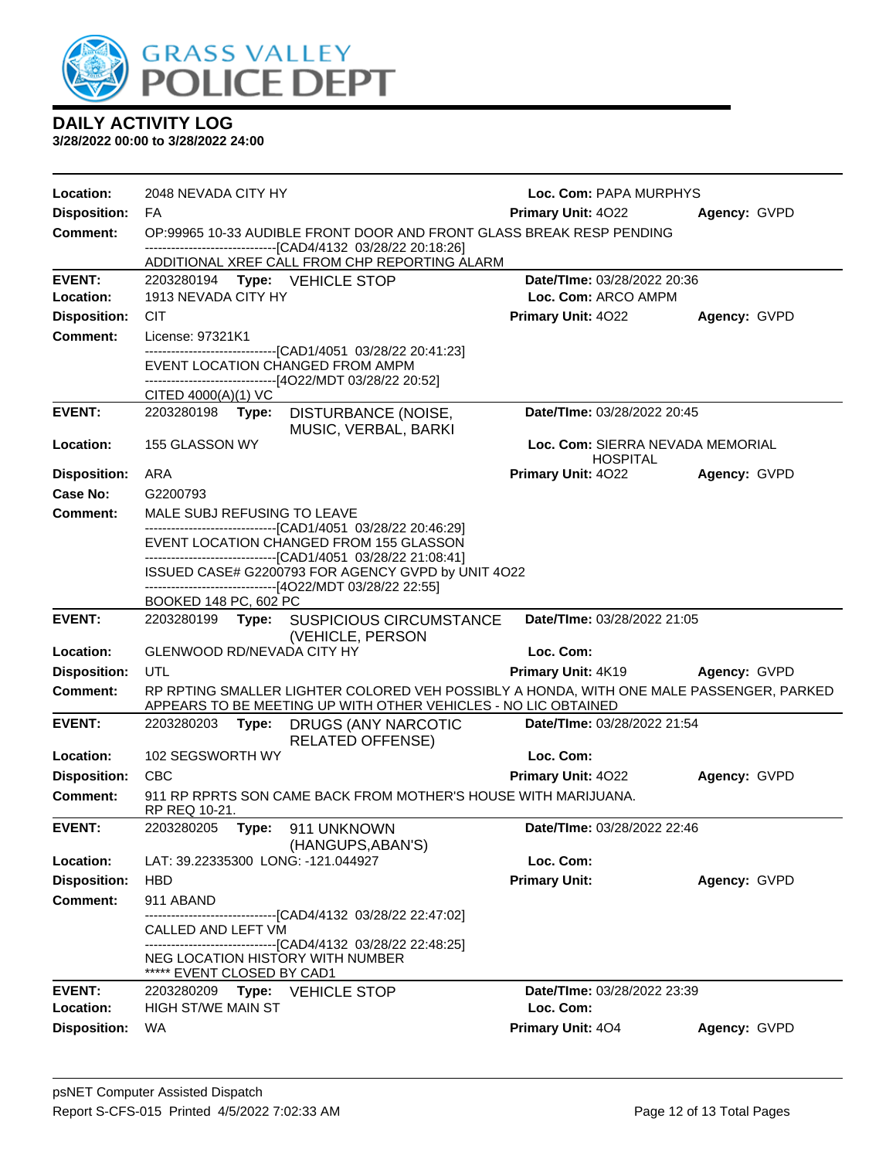

| Location:                        | 2048 NEVADA CITY HY             |       |                                                                                                         | Loc. Com: PAPA MURPHYS                              |              |
|----------------------------------|---------------------------------|-------|---------------------------------------------------------------------------------------------------------|-----------------------------------------------------|--------------|
| <b>Disposition:</b>              | FA                              |       |                                                                                                         | <b>Primary Unit: 4022</b>                           | Agency: GVPD |
| <b>Comment:</b>                  |                                 |       | OP:99965 10-33 AUDIBLE FRONT DOOR AND FRONT GLASS BREAK RESP PENDING                                    |                                                     |              |
|                                  |                                 |       | -------------------------------[CAD4/4132 03/28/22 20:18:26]                                            |                                                     |              |
| <b>EVENT:</b>                    |                                 |       | ADDITIONAL XREF CALL FROM CHP REPORTING ALARM<br>2203280194 Type: VEHICLE STOP                          | Date/TIme: 03/28/2022 20:36                         |              |
| Location:                        | 1913 NEVADA CITY HY             |       |                                                                                                         | Loc. Com: ARCO AMPM                                 |              |
| <b>Disposition:</b>              | <b>CIT</b>                      |       |                                                                                                         | Primary Unit: 4022                                  | Agency: GVPD |
| <b>Comment:</b>                  | License: 97321K1                |       |                                                                                                         |                                                     |              |
|                                  |                                 |       | -------------------------------[CAD1/4051 03/28/22 20:41:23]                                            |                                                     |              |
|                                  |                                 |       | EVENT LOCATION CHANGED FROM AMPM                                                                        |                                                     |              |
|                                  | CITED 4000(A)(1) VC             |       | ------------------------------[4O22/MDT 03/28/22 20:52]                                                 |                                                     |              |
| <b>EVENT:</b>                    | 2203280198 <b>Type:</b>         |       | DISTURBANCE (NOISE,                                                                                     | Date/TIme: 03/28/2022 20:45                         |              |
|                                  |                                 |       | MUSIC, VERBAL, BARKI                                                                                    |                                                     |              |
| Location:                        | 155 GLASSON WY                  |       |                                                                                                         | Loc. Com: SIERRA NEVADA MEMORIAL<br><b>HOSPITAL</b> |              |
| <b>Disposition:</b>              | ARA                             |       |                                                                                                         | <b>Primary Unit: 4022</b>                           | Agency: GVPD |
| Case No:                         | G2200793                        |       |                                                                                                         |                                                     |              |
| Comment:                         | MALE SUBJ REFUSING TO LEAVE     |       |                                                                                                         |                                                     |              |
|                                  |                                 |       | -------------------------------[CAD1/4051 03/28/22 20:46:29]<br>EVENT LOCATION CHANGED FROM 155 GLASSON |                                                     |              |
|                                  |                                 |       | -------------------------------[CAD1/4051 03/28/22 21:08:41]                                            |                                                     |              |
|                                  |                                 |       | ISSUED CASE# G2200793 FOR AGENCY GVPD by UNIT 4O22                                                      |                                                     |              |
|                                  | BOOKED 148 PC, 602 PC           |       | ------------------------------[4O22/MDT 03/28/22 22:55]                                                 |                                                     |              |
| <b>EVENT:</b>                    |                                 |       | 2203280199 Type: SUSPICIOUS CIRCUMSTANCE                                                                | Date/TIme: 03/28/2022 21:05                         |              |
|                                  |                                 |       |                                                                                                         |                                                     |              |
| Location:                        | GLENWOOD RD/NEVADA CITY HY      |       | (VEHICLE, PERSON                                                                                        | Loc. Com:                                           |              |
| <b>Disposition:</b>              | UTL                             |       |                                                                                                         | <b>Primary Unit: 4K19</b>                           | Agency: GVPD |
| <b>Comment:</b>                  |                                 |       | RP RPTING SMALLER LIGHTER COLORED VEH POSSIBLY A HONDA, WITH ONE MALE PASSENGER, PARKED                 |                                                     |              |
|                                  |                                 |       | APPEARS TO BE MEETING UP WITH OTHER VEHICLES - NO LIC OBTAINED                                          |                                                     |              |
| <b>EVENT:</b>                    | 2203280203                      | Type: | DRUGS (ANY NARCOTIC<br><b>RELATED OFFENSE)</b>                                                          | Date/TIme: 03/28/2022 21:54                         |              |
| Location:                        | 102 SEGSWORTH WY                |       |                                                                                                         | Loc. Com:                                           |              |
| <b>Disposition:</b>              | <b>CBC</b>                      |       |                                                                                                         | <b>Primary Unit: 4022</b>                           | Agency: GVPD |
| <b>Comment:</b>                  | RP REQ 10-21.                   |       | 911 RP RPRTS SON CAME BACK FROM MOTHER'S HOUSE WITH MARIJUANA.                                          |                                                     |              |
| <b>EVENT:</b>                    | 2203280205                      | Type: | 911 UNKNOWN                                                                                             | Date/TIme: 03/28/2022 22:46                         |              |
|                                  |                                 |       | (HANGUPS, ABAN'S)                                                                                       |                                                     |              |
| Location:                        |                                 |       | LAT: 39.22335300 LONG: -121.044927                                                                      | Loc. Com:                                           |              |
| <b>Disposition:</b>              | <b>HBD</b>                      |       |                                                                                                         | <b>Primary Unit:</b>                                | Agency: GVPD |
| <b>Comment:</b>                  | 911 ABAND                       |       |                                                                                                         |                                                     |              |
|                                  | CALLED AND LEFT VM              |       | -------------------------------[CAD4/4132 03/28/22 22:47:02]                                            |                                                     |              |
|                                  |                                 |       | ------------------------------[CAD4/4132_03/28/22_22:48:25]                                             |                                                     |              |
|                                  | EVENT CLOSED BY CAD1            |       | NEG LOCATION HISTORY WITH NUMBER                                                                        |                                                     |              |
| <b>EVENT:</b>                    | 2203280209 Type:                |       | <b>VEHICLE STOP</b>                                                                                     | Date/TIme: 03/28/2022 23:39                         |              |
| Location:<br><b>Disposition:</b> | HIGH ST/WE MAIN ST<br><b>WA</b> |       |                                                                                                         | Loc. Com:<br>Primary Unit: 404                      | Agency: GVPD |